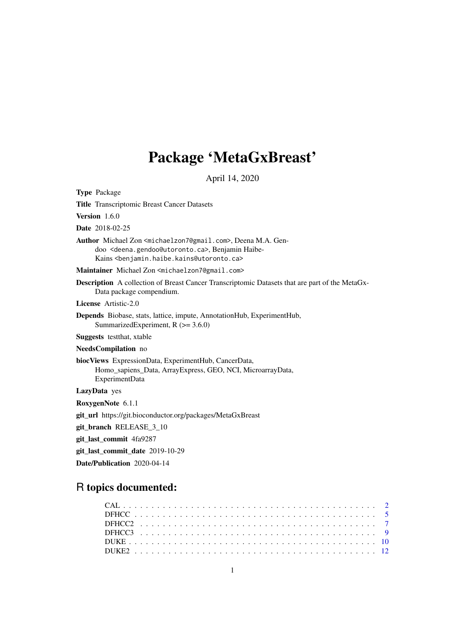# Package 'MetaGxBreast'

April 14, 2020

Type Package Title Transcriptomic Breast Cancer Datasets Version 1.6.0 Date 2018-02-25 Author Michael Zon <michaelzon7@gmail.com>, Deena M.A. Gendoo <deena.gendoo@utoronto.ca>, Benjamin Haibe-Kains <benjamin.haibe.kains@utoronto.ca> Maintainer Michael Zon <michaelzon7@gmail.com> Description A collection of Breast Cancer Transcriptomic Datasets that are part of the MetaGx-Data package compendium. License Artistic-2.0 Depends Biobase, stats, lattice, impute, AnnotationHub, ExperimentHub, SummarizedExperiment,  $R$  ( $> = 3.6.0$ ) Suggests testthat, xtable NeedsCompilation no biocViews ExpressionData, ExperimentHub, CancerData, Homo\_sapiens\_Data, ArrayExpress, GEO, NCI, MicroarrayData, ExperimentData LazyData yes RoxygenNote 6.1.1 git\_url https://git.bioconductor.org/packages/MetaGxBreast git\_branch RELEASE\_3\_10 git\_last\_commit 4fa9287 git last commit date 2019-10-29 Date/Publication 2020-04-14

# R topics documented: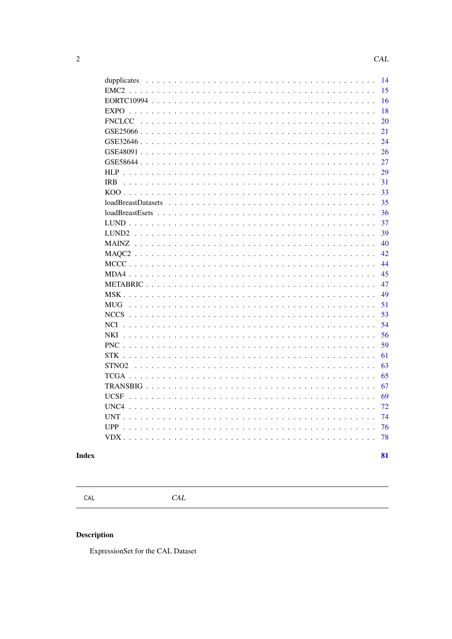<span id="page-1-0"></span>

| 14<br>dupplicates                                                                                             |  |
|---------------------------------------------------------------------------------------------------------------|--|
| EMC <sub>2</sub><br>15                                                                                        |  |
| 16                                                                                                            |  |
| 18<br><b>EXPO</b>                                                                                             |  |
| <b>FNCLCC</b><br>20                                                                                           |  |
| 21                                                                                                            |  |
| 24                                                                                                            |  |
| 26                                                                                                            |  |
| 27                                                                                                            |  |
| <b>HLP</b><br>29                                                                                              |  |
| <b>IRB</b><br>31                                                                                              |  |
| 33                                                                                                            |  |
| $loadBreatDatasets \ldots \ldots \ldots \ldots \ldots \ldots \ldots \ldots \ldots \ldots \ldots \ldots$<br>35 |  |
| 36                                                                                                            |  |
| 37                                                                                                            |  |
| 39<br>LUND <sub>2</sub>                                                                                       |  |
| 40<br><b>MAINZ</b>                                                                                            |  |
| 42                                                                                                            |  |
| 44                                                                                                            |  |
| 45<br>$MDA4$ .                                                                                                |  |
| 47                                                                                                            |  |
| 49<br>$MSK$ .                                                                                                 |  |
| 51<br><b>MUG</b>                                                                                              |  |
| 53                                                                                                            |  |
| 54<br><b>NCI</b>                                                                                              |  |
| <b>NKI</b><br>56                                                                                              |  |
| <b>PNC</b><br>59                                                                                              |  |
| <b>STK</b><br>61                                                                                              |  |
| STNO <sub>2</sub><br>63                                                                                       |  |
| 65                                                                                                            |  |
| 67                                                                                                            |  |
| 69<br><b>UCSF</b>                                                                                             |  |
| UNC <sub>4</sub><br>72                                                                                        |  |
| 74<br><b>UNT</b>                                                                                              |  |
| 76<br>UPP                                                                                                     |  |
| 78                                                                                                            |  |
|                                                                                                               |  |

# **Index**

81

 $CAL$ 

 $CAL$ 

# **Description**

ExpressionSet for the CAL Dataset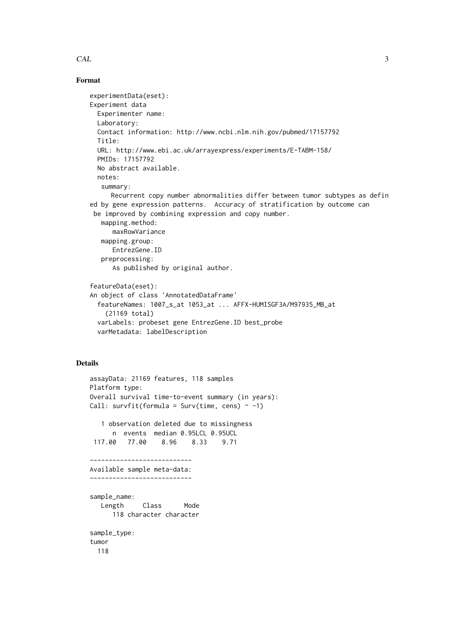### $CAL$  3

#### Format

```
experimentData(eset):
Experiment data
 Experimenter name:
 Laboratory:
 Contact information: http://www.ncbi.nlm.nih.gov/pubmed/17157792
  Title:
 URL: http://www.ebi.ac.uk/arrayexpress/experiments/E-TABM-158/
 PMIDs: 17157792
 No abstract available.
 notes:
   summary:
     Recurrent copy number abnormalities differ between tumor subtypes as defin
ed by gene expression patterns. Accuracy of stratification by outcome can
 be improved by combining expression and copy number.
   mapping.method:
      maxRowVariance
   mapping.group:
      EntrezGene.ID
   preprocessing:
      As published by original author.
featureData(eset):
An object of class 'AnnotatedDataFrame'
  featureNames: 1007_s_at 1053_at ... AFFX-HUMISGF3A/M97935_MB_at
    (21169 total)
 varLabels: probeset gene EntrezGene.ID best_probe
```

```
varMetadata: labelDescription
```

```
assayData: 21169 features, 118 samples
Platform type:
Overall survival time-to-event summary (in years):
Call: survfit(formula = Surv(time, cens) \sim -1)
   1 observation deleted due to missingness
     n events median 0.95LCL 0.95UCL
 117.00 77.00 8.96 8.33 9.71
---------------------------
Available sample meta-data:
---------------------------
sample_name:
  Length Class Mode
     118 character character
sample_type:
tumor
 118
```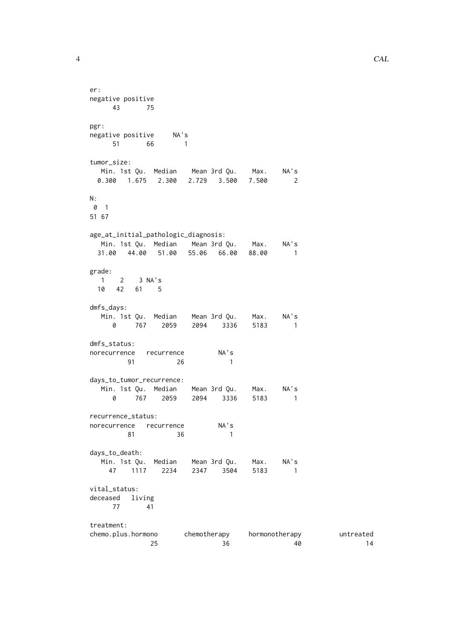```
4 CAL
```

```
er:
negative positive
43 75
pgr:
negative positive NA's
    51 66 1
tumor_size:
 Min. 1st Qu. Median Mean 3rd Qu. Max. NA's
 0.300 1.675 2.300 2.729 3.500 7.500 2
N:
0 1
51 67
age_at_initial_pathologic_diagnosis:
 Min. 1st Qu. Median Mean 3rd Qu. Max. NA's
 31.00 44.00 51.00 55.06 66.00 88.00 1
grade:
 1 2 3 NA's
 10 42 61 5
dmfs_days:
  Min. 1st Qu. Median Mean 3rd Qu. Max. NA's
   0 767 2059 2094 3336 5183 1
dmfs_status:
norecurrence recurrence NA's
   91 26 1
days_to_tumor_recurrence:
  Min. 1st Qu. Median Mean 3rd Qu. Max. NA's
  0 767 2059 2094 3336 5183 1
recurrence_status:
norecurrence recurrence NA's
       81 36 1
days_to_death:
  Min. 1st Qu. Median Mean 3rd Qu. Max. NA's
   47 1117 2234 2347 3504 5183 1
vital_status:
deceased living
   77 41
treatment:
chemo.plus.hormono chemotherapy hormonotherapy untreated
          25 36 40 14
```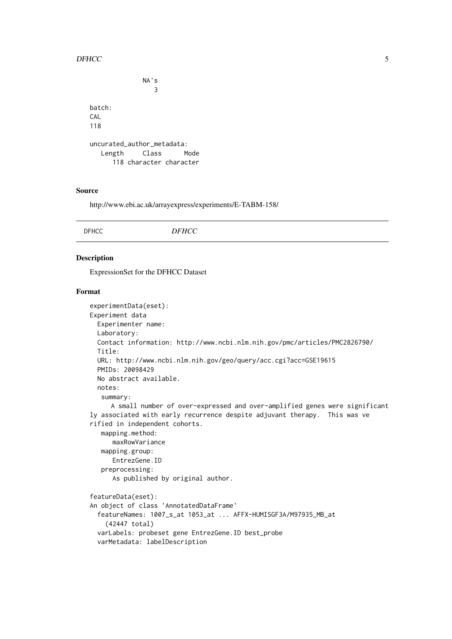#### <span id="page-4-0"></span> $D \times C$  5

```
NA's
                3
batch:
CAL
118
uncurated_author_metadata:
  Length Class Mode
     118 character character
```
### Source

http://www.ebi.ac.uk/arrayexpress/experiments/E-TABM-158/

# Description

ExpressionSet for the DFHCC Dataset

```
experimentData(eset):
Experiment data
 Experimenter name:
 Laboratory:
 Contact information: http://www.ncbi.nlm.nih.gov/pmc/articles/PMC2826790/
 Title:
 URL: http://www.ncbi.nlm.nih.gov/geo/query/acc.cgi?acc=GSE19615
 PMIDs: 20098429
 No abstract available.
 notes:
   summary:
     A small number of over-expressed and over-amplified genes were significant
ly associated with early recurrence despite adjuvant therapy. This was ve
rified in independent cohorts.
   mapping.method:
      maxRowVariance
   mapping.group:
      EntrezGene.ID
   preprocessing:
      As published by original author.
featureData(eset):
An object of class 'AnnotatedDataFrame'
  featureNames: 1007_s_at 1053_at ... AFFX-HUMISGF3A/M97935_MB_at
    (42447 total)
 varLabels: probeset gene EntrezGene.ID best_probe
 varMetadata: labelDescription
```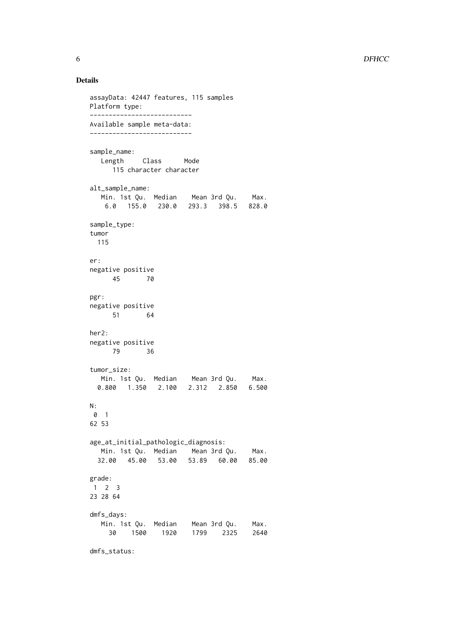```
assayData: 42447 features, 115 samples
Platform type:
---------------------------
Available sample meta-data:
---------------------------
sample_name:
  Length Class Mode
     115 character character
alt_sample_name:
  Min. 1st Qu. Median Mean 3rd Qu. Max.
   6.0 155.0 230.0 293.3 398.5 828.0
sample_type:
tumor
 115
er:
negative positive
  45 70
pgr:
negative positive
   51 64
her2:
negative positive
     79 36
tumor_size:
  Min. 1st Qu. Median Mean 3rd Qu. Max.
  0.800 1.350 2.100 2.312 2.850 6.500
N:
0 1
62 53
age_at_initial_pathologic_diagnosis:
  Min. 1st Qu. Median Mean 3rd Qu. Max.
 32.00 45.00 53.00 53.89 60.00 85.00
grade:
1 2 3
23 28 64
dmfs_days:
  Min. 1st Qu. Median Mean 3rd Qu. Max.
    30 1500 1920 1799 2325 2640
```
dmfs\_status: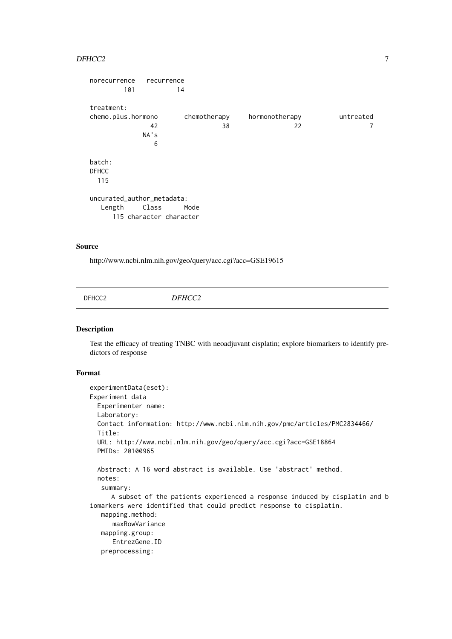#### <span id="page-6-0"></span> $DFHCC2$  and  $7$

```
norecurrence recurrence
      101 14
treatment:
chemo.plus.hormono chemotherapy hormonotherapy untreated
           42 38 22 7
         NA's
           6
batch:
DFHCC
 115
uncurated_author_metadata:
  Length Class Mode
    115 character character
```
# Source

http://www.ncbi.nlm.nih.gov/geo/query/acc.cgi?acc=GSE19615

DFHCC2 *DFHCC2*

# Description

Test the efficacy of treating TNBC with neoadjuvant cisplatin; explore biomarkers to identify predictors of response

```
experimentData(eset):
Experiment data
 Experimenter name:
 Laboratory:
 Contact information: http://www.ncbi.nlm.nih.gov/pmc/articles/PMC2834466/
 Title:
 URL: http://www.ncbi.nlm.nih.gov/geo/query/acc.cgi?acc=GSE18864
 PMIDs: 20100965
 Abstract: A 16 word abstract is available. Use 'abstract' method.
 notes:
   summary:
     A subset of the patients experienced a response induced by cisplatin and b
iomarkers were identified that could predict response to cisplatin.
  mapping.method:
      maxRowVariance
   mapping.group:
      EntrezGene.ID
   preprocessing:
```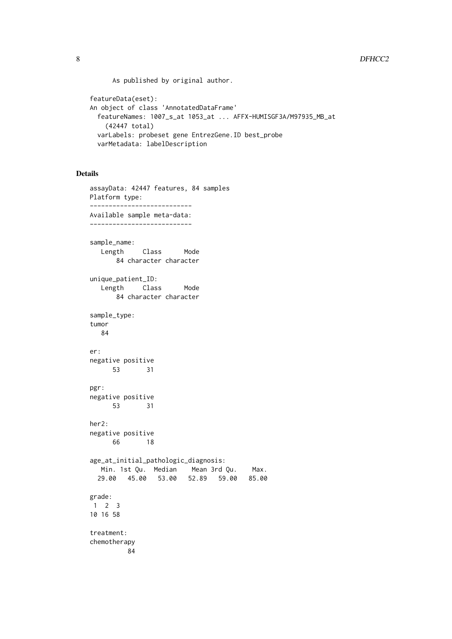As published by original author.

```
featureData(eset):
An object of class 'AnnotatedDataFrame'
  featureNames: 1007_s_at 1053_at ... AFFX-HUMISGF3A/M97935_MB_at
    (42447 total)
 varLabels: probeset gene EntrezGene.ID best_probe
 varMetadata: labelDescription
```

```
assayData: 42447 features, 84 samples
Platform type:
---------------------------
Available sample meta-data:
---------------------------
sample_name:
  Length Class Mode
      84 character character
unique_patient_ID:
  Length Class Mode
      84 character character
sample_type:
tumor
  84
er:
negative positive
     53 31
pgr:
negative positive
     53 31
her2:
negative positive
     66 18
age_at_initial_pathologic_diagnosis:
  Min. 1st Qu. Median Mean 3rd Qu. Max.
 29.00 45.00 53.00 52.89 59.00 85.00
grade:
1 2 3
10 16 58
treatment:
chemotherapy
         84
```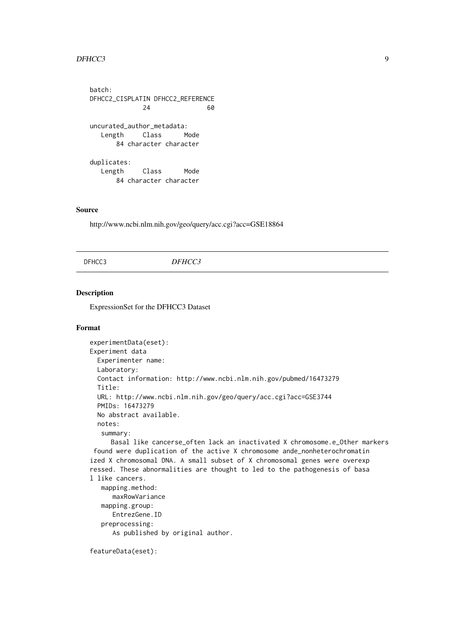#### <span id="page-8-0"></span> $DFHCC3$  9

batch: DFHCC2\_CISPLATIN DFHCC2\_REFERENCE 24 60 uncurated\_author\_metadata: Length Class Mode 84 character character duplicates: Length Class Mode 84 character character

### Source

http://www.ncbi.nlm.nih.gov/geo/query/acc.cgi?acc=GSE18864

#### DFHCC3 *DFHCC3*

#### Description

ExpressionSet for the DFHCC3 Dataset

#### Format

```
experimentData(eset):
Experiment data
 Experimenter name:
 Laboratory:
 Contact information: http://www.ncbi.nlm.nih.gov/pubmed/16473279
 Title:
 URL: http://www.ncbi.nlm.nih.gov/geo/query/acc.cgi?acc=GSE3744
 PMIDs: 16473279
 No abstract available.
 notes:
   summary:
     Basal like cancerse_often lack an inactivated X chromosome.e_Other markers
```
found were duplication of the active X chromosome ande\_nonheterochromatin ized X chromosomal DNA. A small subset of X chromosomal genes were overexp ressed. These abnormalities are thought to led to the pathogenesis of basa l like cancers.

```
mapping.method:
   maxRowVariance
mapping.group:
   EntrezGene.ID
preprocessing:
   As published by original author.
```

```
featureData(eset):
```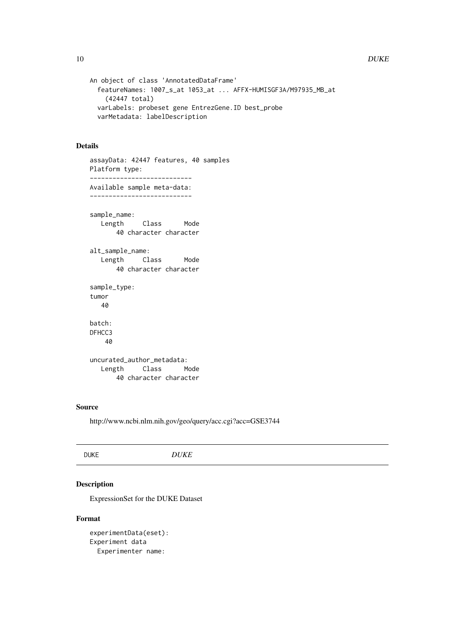```
An object of class 'AnnotatedDataFrame'
  featureNames: 1007_s_at 1053_at ... AFFX-HUMISGF3A/M97935_MB_at
    (42447 total)
 varLabels: probeset gene EntrezGene.ID best_probe
 varMetadata: labelDescription
```

```
assayData: 42447 features, 40 samples
Platform type:
---------------------------
Available sample meta-data:
---------------------------
sample_name:
  Length Class Mode
      40 character character
alt_sample_name:
  Length Class Mode
      40 character character
sample_type:
tumor
   40
batch:
DFHCC3
   40
uncurated_author_metadata:
  Length Class Mode
      40 character character
```
### Source

http://www.ncbi.nlm.nih.gov/geo/query/acc.cgi?acc=GSE3744

# Description

ExpressionSet for the DUKE Dataset

# Format

experimentData(eset): Experiment data Experimenter name: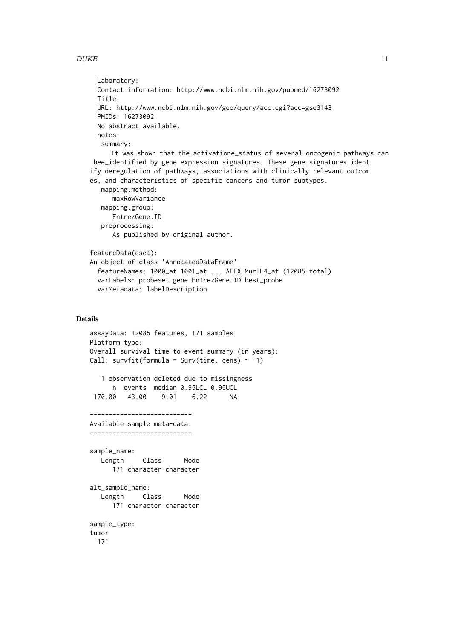```
Laboratory:
 Contact information: http://www.ncbi.nlm.nih.gov/pubmed/16273092
 Title:
 URL: http://www.ncbi.nlm.nih.gov/geo/query/acc.cgi?acc=gse3143
 PMIDs: 16273092
 No abstract available.
 notes:
   summary:
     It was shown that the activatione_status of several oncogenic pathways can
 bee_identified by gene expression signatures. These gene signatures ident
ify deregulation of pathways, associations with clinically relevant outcom
es, and characteristics of specific cancers and tumor subtypes.
   mapping.method:
      maxRowVariance
   mapping.group:
      EntrezGene.ID
   preprocessing:
      As published by original author.
featureData(eset):
An object of class 'AnnotatedDataFrame'
  featureNames: 1000_at 1001_at ... AFFX-MurIL4_at (12085 total)
 varLabels: probeset gene EntrezGene.ID best_probe
  varMetadata: labelDescription
```

```
assayData: 12085 features, 171 samples
Platform type:
Overall survival time-to-event summary (in years):
Call: survfit(formula = Surv(time, cens) \sim -1)
   1 observation deleted due to missingness
     n events median 0.95LCL 0.95UCL
 170.00 43.00 9.01 6.22 NA
---------------------------
Available sample meta-data:
---------------------------
sample_name:
  Length Class Mode
     171 character character
alt_sample_name:
  Length Class Mode
     171 character character
sample_type:
tumor
 171
```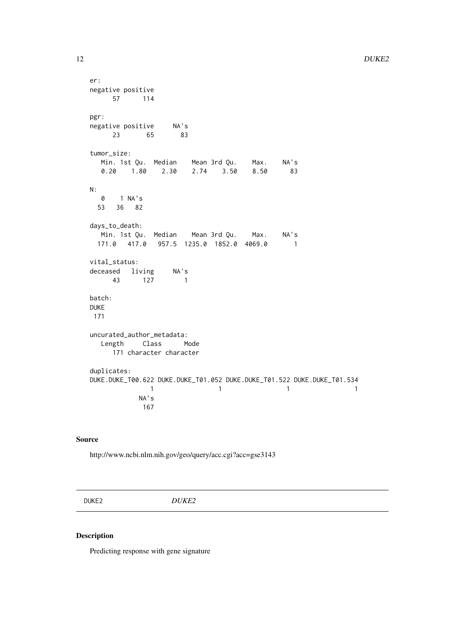```
er:
negative positive
    57 114
pgr:
negative positive NA's
     23 65 83
tumor_size:
  Min. 1st Qu. Median Mean 3rd Qu. Max. NA's<br>0.20    1.80    2.30    2.74    3.50    8.50    83
  0.20 1.80 2.30 2.74 3.50 8.50 83
N:
  0 1 NA's
 53 36 82
days_to_death:
  Min. 1st Qu. Median Mean 3rd Qu. Max. NA's
 171.0 417.0 957.5 1235.0 1852.0 4069.0 1
vital_status:
deceased living NA's
   43 127 1
batch:
DUKE
171
uncurated_author_metadata:
  Length Class Mode
     171 character character
duplicates:
DUKE.DUKE_T00.622 DUKE.DUKE_T01.052 DUKE.DUKE_T01.522 DUKE.DUKE_T01.534
            1 1 1 1 1
           NA's
           167
```
http://www.ncbi.nlm.nih.gov/geo/query/acc.cgi?acc=gse3143

DUKE2 *DUKE2*

# Description

Predicting response with gene signature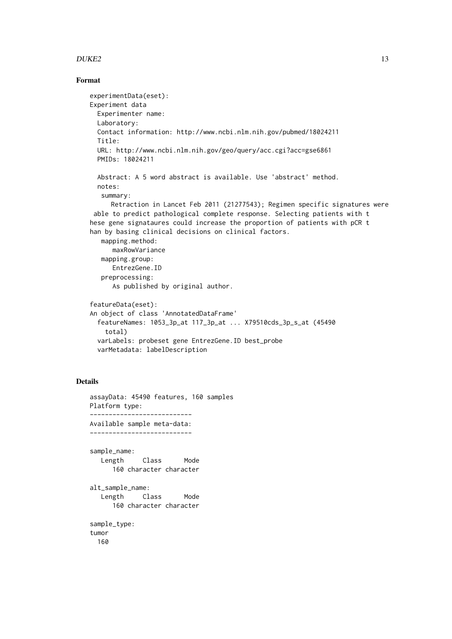#### $DUKE2$  13

#### Format

```
experimentData(eset):
Experiment data
 Experimenter name:
 Laboratory:
 Contact information: http://www.ncbi.nlm.nih.gov/pubmed/18024211
 Title:
 URL: http://www.ncbi.nlm.nih.gov/geo/query/acc.cgi?acc=gse6861
 PMIDs: 18024211
 Abstract: A 5 word abstract is available. Use 'abstract' method.
 notes:
   summary:
     Retraction in Lancet Feb 2011 (21277543); Regimen specific signatures were
 able to predict pathological complete response. Selecting patients with t
hese gene signataures could increase the proportion of patients with pCR t
han by basing clinical decisions on clinical factors.
   mapping.method:
      maxRowVariance
   mapping.group:
      EntrezGene.ID
   preprocessing:
      As published by original author.
featureData(eset):
An object of class 'AnnotatedDataFrame'
  featureNames: 1053_3p_at 117_3p_at ... X79510cds_3p_s_at (45490
    total)
  varLabels: probeset gene EntrezGene.ID best_probe
 varMetadata: labelDescription
```

```
assayData: 45490 features, 160 samples
Platform type:
---------------------------
Available sample meta-data:
---------------------------
sample_name:
  Length Class Mode
     160 character character
alt_sample_name:
  Length Class Mode
     160 character character
sample_type:
tumor
 160
```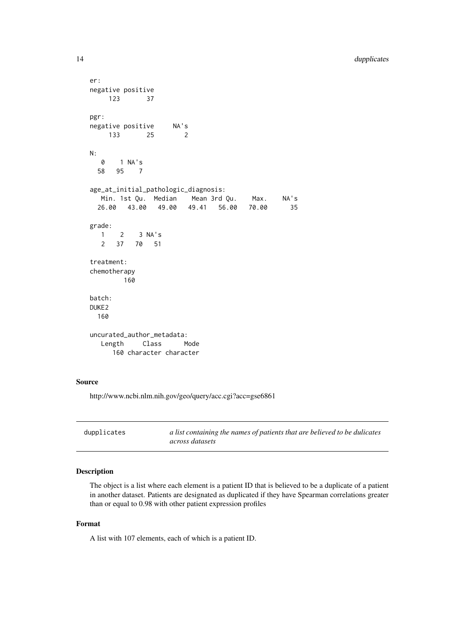```
er:
negative positive
    123 37
pgr:
negative positive NA's
    133 25 2
N:
 0 1 NA's<br>58 95 7
      58 95 7
age_at_initial_pathologic_diagnosis:
  Min. 1st Qu. Median Mean 3rd Qu. Max. NA's
 26.00 43.00 49.00 49.41 56.00 70.00 35
grade:
  1 2 3 NA's<br>2 37 70 51
  2 37 70 51
treatment:
chemotherapy
        160
batch:
DUKE2
 160
uncurated_author_metadata:
  Length Class Mode
     160 character character
```
http://www.ncbi.nlm.nih.gov/geo/query/acc.cgi?acc=gse6861

| dupplicates | a list containing the names of patients that are believed to be dulicates |
|-------------|---------------------------------------------------------------------------|
|             | <i>across datasets</i>                                                    |

# Description

The object is a list where each element is a patient ID that is believed to be a duplicate of a patient in another dataset. Patients are designated as duplicated if they have Spearman correlations greater than or equal to 0.98 with other patient expression profiles

### Format

A list with 107 elements, each of which is a patient ID.

<span id="page-13-0"></span>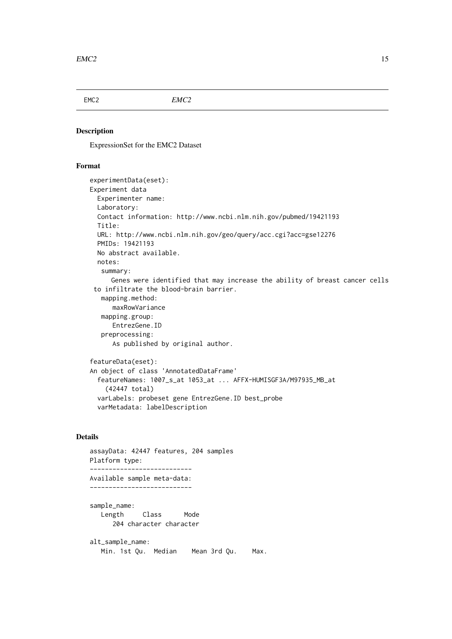<span id="page-14-0"></span>

EMC2 *EMC2*

# Description

ExpressionSet for the EMC2 Dataset

#### Format

```
experimentData(eset):
Experiment data
 Experimenter name:
 Laboratory:
 Contact information: http://www.ncbi.nlm.nih.gov/pubmed/19421193
 Title:
 URL: http://www.ncbi.nlm.nih.gov/geo/query/acc.cgi?acc=gse12276
 PMIDs: 19421193
 No abstract available.
 notes:
   summary:
     Genes were identified that may increase the ability of breast cancer cells
 to infiltrate the blood-brain barrier.
   mapping.method:
      maxRowVariance
   mapping.group:
     EntrezGene.ID
   preprocessing:
      As published by original author.
featureData(eset):
An object of class 'AnnotatedDataFrame'
  featureNames: 1007_s_at 1053_at ... AFFX-HUMISGF3A/M97935_MB_at
    (42447 total)
 varLabels: probeset gene EntrezGene.ID best_probe
```
#### Details

```
assayData: 42447 features, 204 samples
Platform type:
---------------------------
Available sample meta-data:
---------------------------
sample_name:
  Length Class Mode
     204 character character
alt_sample_name:
   Min. 1st Qu. Median Mean 3rd Qu. Max.
```
varMetadata: labelDescription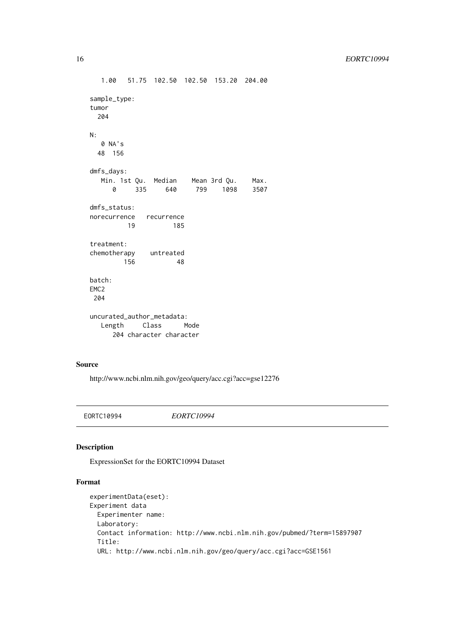```
1.00 51.75 102.50 102.50 153.20 204.00
sample_type:
tumor
 204
N:
  0 NA's
 48 156
dmfs_days:
  Min. 1st Qu. Median Mean 3rd Qu. Max.
    0 335 640 799 1098 3507
dmfs_status:
norecurrence recurrence
       19 185
treatment:
chemotherapy untreated
      156 48
batch:
EMC2
204
uncurated_author_metadata:
  Length Class Mode
     204 character character
```
http://www.ncbi.nlm.nih.gov/geo/query/acc.cgi?acc=gse12276

EORTC10994 *EORTC10994*

# Description

ExpressionSet for the EORTC10994 Dataset

```
experimentData(eset):
Experiment data
  Experimenter name:
  Laboratory:
  Contact information: http://www.ncbi.nlm.nih.gov/pubmed/?term=15897907
  Title:
  URL: http://www.ncbi.nlm.nih.gov/geo/query/acc.cgi?acc=GSE1561
```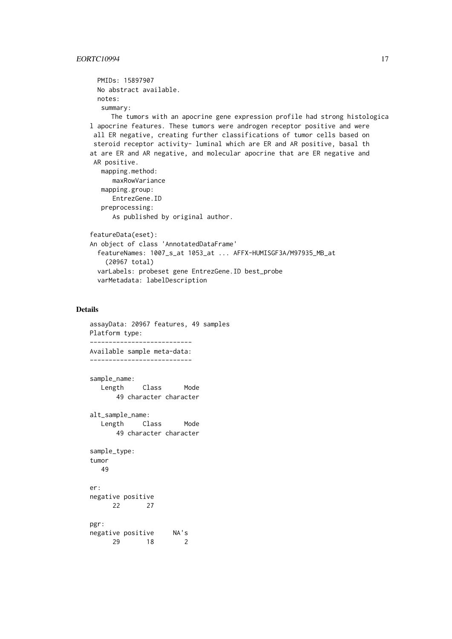```
PMIDs: 15897907
 No abstract available.
 notes:
   summary:
     The tumors with an apocrine gene expression profile had strong histologica
l apocrine features. These tumors were androgen receptor positive and were
 all ER negative, creating further classifications of tumor cells based on
 steroid receptor activity- luminal which are ER and AR positive, basal th
at are ER and AR negative, and molecular apocrine that are ER negative and
 AR positive.
   mapping.method:
      maxRowVariance
   mapping.group:
      EntrezGene.ID
   preprocessing:
      As published by original author.
featureData(eset):
An object of class 'AnnotatedDataFrame'
  featureNames: 1007_s_at 1053_at ... AFFX-HUMISGF3A/M97935_MB_at
    (20967 total)
 varLabels: probeset gene EntrezGene.ID best_probe
 varMetadata: labelDescription
```

```
assayData: 20967 features, 49 samples
Platform type:
---------------------------
Available sample meta-data:
---------------------------
sample_name:
  Length Class Mode
      49 character character
alt_sample_name:
  Length Class Mode
      49 character character
sample_type:
tumor
  49
er:
negative positive
     22 27
pgr:
negative positive NA's
     29 18 2
```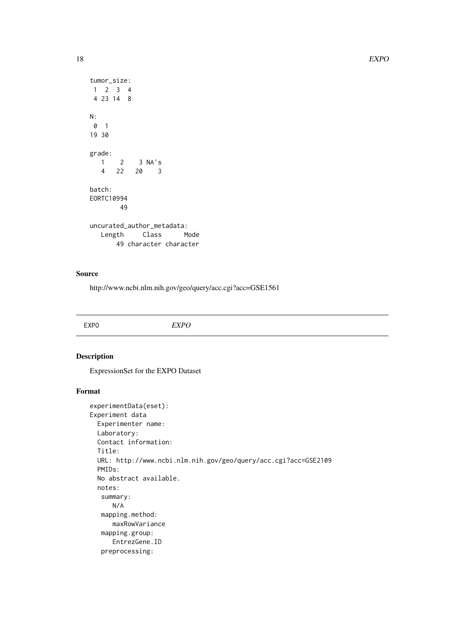```
tumor_size:
1 2 3 4
 4 23 14 8
N:
 0 1
19 30
grade:
   1 2 3 NA's<br>4 22 20 3
     4 22 20 3
batch:
EORTC10994
       49
uncurated_author_metadata:
  Length Class Mode
      49 character character
```
http://www.ncbi.nlm.nih.gov/geo/query/acc.cgi?acc=GSE1561

# Description

ExpressionSet for the EXPO Dataset

```
experimentData(eset):
Experiment data
 Experimenter name:
 Laboratory:
 Contact information:
 Title:
 URL: http://www.ncbi.nlm.nih.gov/geo/query/acc.cgi?acc=GSE2109
 PMIDs:
 No abstract available.
 notes:
   summary:
     N/A
  mapping.method:
     maxRowVariance
   mapping.group:
     EntrezGene.ID
   preprocessing:
```
<span id="page-17-0"></span>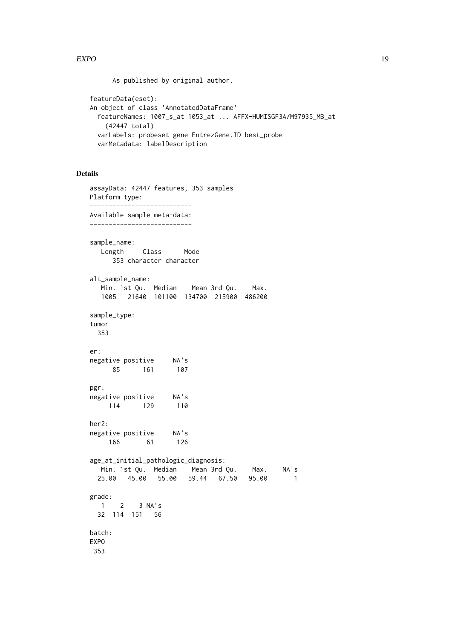As published by original author.

```
featureData(eset):
An object of class 'AnnotatedDataFrame'
  featureNames: 1007_s_at 1053_at ... AFFX-HUMISGF3A/M97935_MB_at
    (42447 total)
 varLabels: probeset gene EntrezGene.ID best_probe
 varMetadata: labelDescription
```

```
assayData: 42447 features, 353 samples
Platform type:
---------------------------
Available sample meta-data:
---------------------------
sample_name:
  Length Class Mode
     353 character character
alt_sample_name:
  Min. 1st Qu. Median Mean 3rd Qu. Max.
  1005 21640 101100 134700 215900 486200
sample_type:
tumor
 353
er:
negative positive NA's
     85 161 107
pgr:
negative positive NA's
   114 129 110
her2:
negative positive NA's
    166 61 126
age_at_initial_pathologic_diagnosis:
  Min. 1st Qu. Median Mean 3rd Qu. Max. NA's
 25.00 45.00 55.00 59.44 67.50 95.00 1
grade:
  1 2 3 NA's
 32 114 151 56
batch:
EXPO
353
```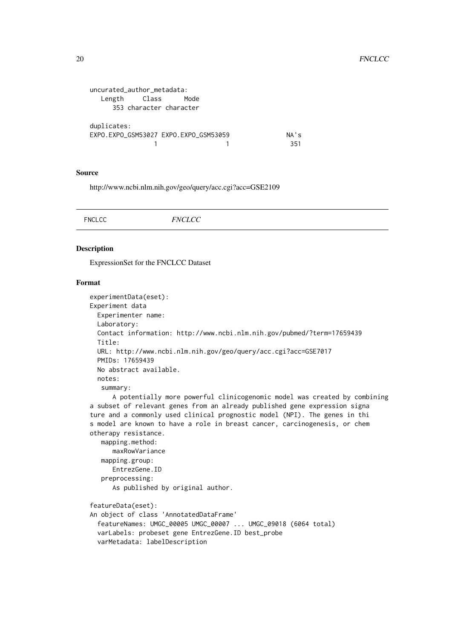```
uncurated_author_metadata:
  Length Class Mode
    353 character character
duplicates:
EXPO.EXPO_GSM53027 EXPO.EXPO_GSM53059 NA's
           1 1 351
```
http://www.ncbi.nlm.nih.gov/geo/query/acc.cgi?acc=GSE2109

|  | <b>FNCLCC</b> | <b>FNCLCC</b> |  |  |
|--|---------------|---------------|--|--|
|--|---------------|---------------|--|--|

#### Description

ExpressionSet for the FNCLCC Dataset

```
experimentData(eset):
Experiment data
 Experimenter name:
 Laboratory:
 Contact information: http://www.ncbi.nlm.nih.gov/pubmed/?term=17659439
 Title:
 URL: http://www.ncbi.nlm.nih.gov/geo/query/acc.cgi?acc=GSE7017
 PMIDs: 17659439
 No abstract available.
 notes:
   summary:
      A potentially more powerful clinicogenomic model was created by combining
a subset of relevant genes from an already published gene expression signa
ture and a commonly used clinical prognostic model (NPI). The genes in thi
s model are known to have a role in breast cancer, carcinogenesis, or chem
otherapy resistance.
   mapping.method:
      maxRowVariance
   mapping.group:
      EntrezGene.ID
   preprocessing:
      As published by original author.
featureData(eset):
An object of class 'AnnotatedDataFrame'
  featureNames: UMGC_00005 UMGC_00007 ... UMGC_09018 (6064 total)
  varLabels: probeset gene EntrezGene.ID best_probe
 varMetadata: labelDescription
```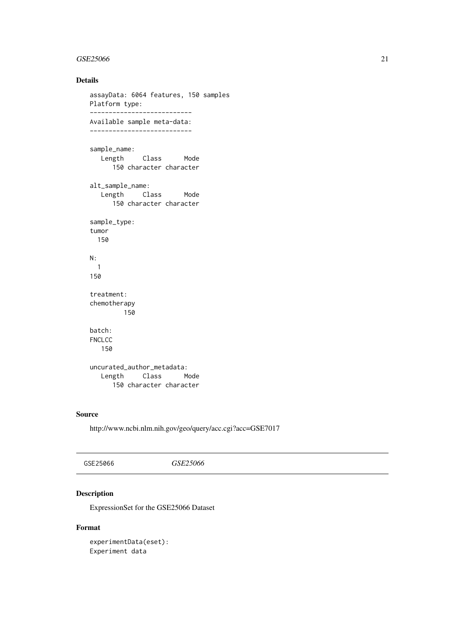#### <span id="page-20-0"></span> $GSE25066$  21

#### Details

```
assayData: 6064 features, 150 samples
Platform type:
---------------------------
Available sample meta-data:
---------------------------
sample_name:
  Length Class Mode
     150 character character
alt_sample_name:
  Length Class Mode
     150 character character
sample_type:
tumor
 150
N:
 1
150
treatment:
chemotherapy
       150
batch:
FNCLCC
  150
uncurated_author_metadata:
  Length Class Mode
     150 character character
```
# Source

http://www.ncbi.nlm.nih.gov/geo/query/acc.cgi?acc=GSE7017

# Description

ExpressionSet for the GSE25066 Dataset

### Format

experimentData(eset): Experiment data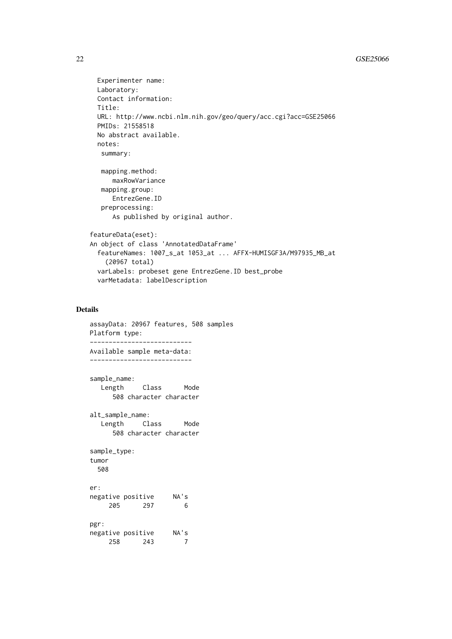```
Experimenter name:
 Laboratory:
 Contact information:
 Title:
 URL: http://www.ncbi.nlm.nih.gov/geo/query/acc.cgi?acc=GSE25066
 PMIDs: 21558518
 No abstract available.
 notes:
   summary:
   mapping.method:
      maxRowVariance
   mapping.group:
      EntrezGene.ID
   preprocessing:
      As published by original author.
featureData(eset):
An object of class 'AnnotatedDataFrame'
  featureNames: 1007_s_at 1053_at ... AFFX-HUMISGF3A/M97935_MB_at
    (20967 total)
 varLabels: probeset gene EntrezGene.ID best_probe
 varMetadata: labelDescription
```

```
assayData: 20967 features, 508 samples
Platform type:
---------------------------
Available sample meta-data:
---------------------------
sample_name:
  Length Class Mode
     508 character character
alt_sample_name:
  Length Class Mode
     508 character character
sample_type:
tumor
 508
er:
negative positive NA's
    205 297 6
pgr:
negative positive NA's
    258 243 7
```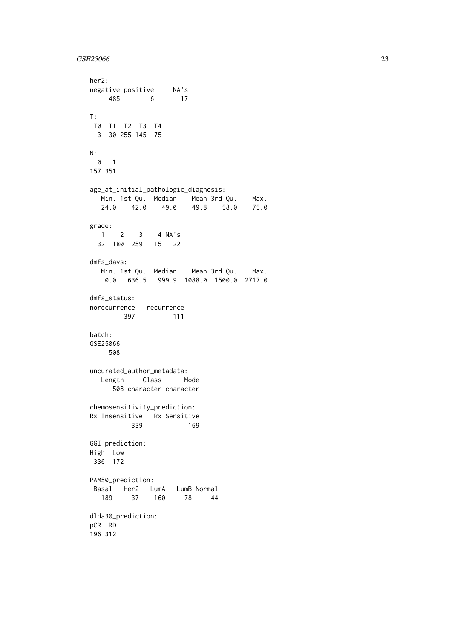#### $GSE25066$  23

```
her2:
negative positive NA's
    485 6 17
T:
T0 T1 T2 T3 T4
 3 30 255 145 75
N:
 0 1
157 351
age_at_initial_pathologic_diagnosis:
  Min. 1st Qu. Median Mean 3rd Qu. Max.
  24.0 42.0 49.0 49.8 58.0 75.0
grade:
  1 2 3 4 NA's
 32 180 259 15 22
dmfs_days:
  Min. 1st Qu. Median Mean 3rd Qu. Max.
   0.0 636.5 999.9 1088.0 1500.0 2717.0
dmfs_status:
norecurrence recurrence
      397 111
batch:
GSE25066
    508
uncurated_author_metadata:
  Length Class Mode
     508 character character
chemosensitivity_prediction:
Rx Insensitive Rx Sensitive
         339 169
GGI_prediction:
High Low
336 172
PAM50 prediction:
Basal Her2 LumA LumB<sup>Normal</sup><br>189 37 160 78 44
  189 37 160
dlda30_prediction:
pCR RD
196 312
```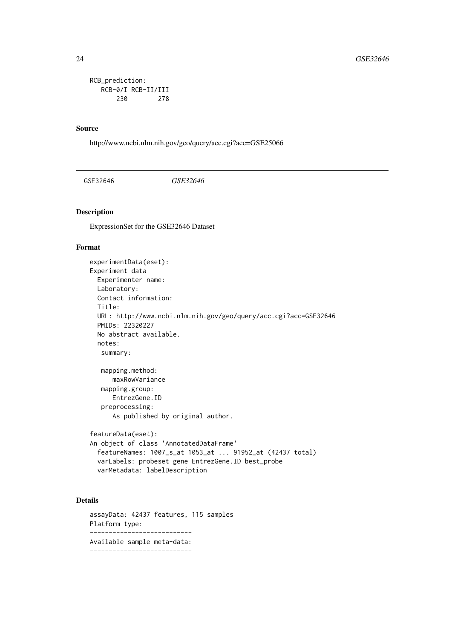```
RCB_prediction:
  RCB-0/I RCB-II/III
      230 278
```
http://www.ncbi.nlm.nih.gov/geo/query/acc.cgi?acc=GSE25066

GSE32646 *GSE32646*

# Description

ExpressionSet for the GSE32646 Dataset

#### Format

```
experimentData(eset):
Experiment data
 Experimenter name:
 Laboratory:
 Contact information:
 Title:
 URL: http://www.ncbi.nlm.nih.gov/geo/query/acc.cgi?acc=GSE32646
 PMIDs: 22320227
 No abstract available.
 notes:
   summary:
  mapping.method:
      maxRowVariance
   mapping.group:
     EntrezGene.ID
   preprocessing:
      As published by original author.
featureData(eset):
An object of class 'AnnotatedDataFrame'
 featureNames: 1007_s_at 1053_at ... 91952_at (42437 total)
 varLabels: probeset gene EntrezGene.ID best_probe
 varMetadata: labelDescription
```
# Details

assayData: 42437 features, 115 samples Platform type: --------------------------- Available sample meta-data: ---------------------------

<span id="page-23-0"></span>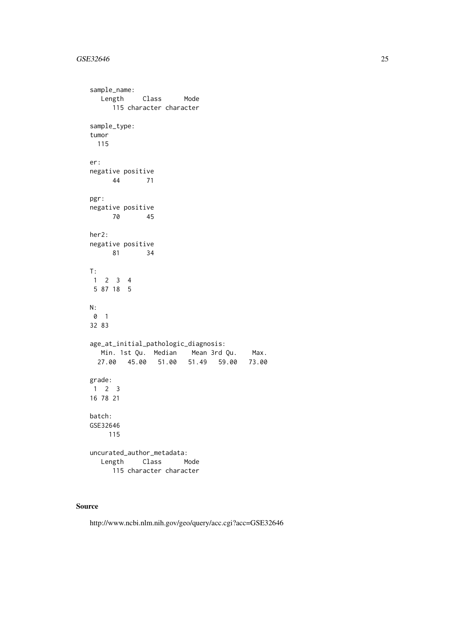# GSE32646 25

```
sample_name:
  Length Class Mode
     115 character character
sample_type:
tumor
 115
er:
negative positive
   44 71
pgr:
negative positive
     70 45
her2:
negative positive
    81 34
T:
1 2 3 4
5 87 18 5
N:
0 1
32 83
age_at_initial_pathologic_diagnosis:
  Min. 1st Qu. Median Mean 3rd Qu. Max.
 27.00 45.00 51.00 51.49 59.00 73.00
grade:
1 \quad 2 \quad 316 78 21
batch:
GSE32646
    115
uncurated_author_metadata:
  Length Class Mode
     115 character character
```
# Source

http://www.ncbi.nlm.nih.gov/geo/query/acc.cgi?acc=GSE32646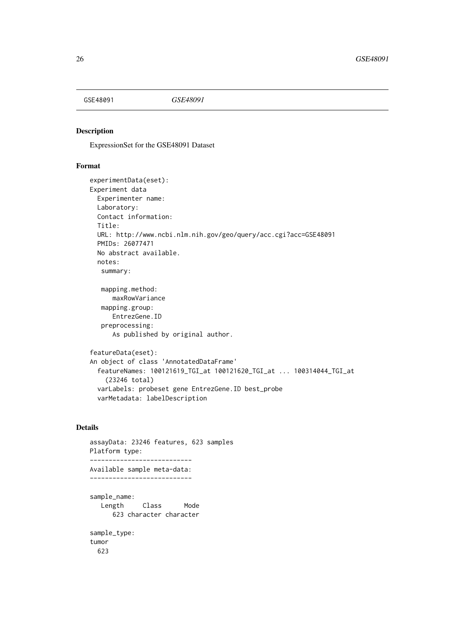<span id="page-25-0"></span>

### Description

ExpressionSet for the GSE48091 Dataset

#### Format

```
experimentData(eset):
Experiment data
 Experimenter name:
 Laboratory:
 Contact information:
 Title:
 URL: http://www.ncbi.nlm.nih.gov/geo/query/acc.cgi?acc=GSE48091
 PMIDs: 26077471
 No abstract available.
 notes:
   summary:
   mapping.method:
      maxRowVariance
   mapping.group:
     EntrezGene.ID
   preprocessing:
      As published by original author.
featureData(eset):
An object of class 'AnnotatedDataFrame'
 featureNames: 100121619_TGI_at 100121620_TGI_at ... 100314044_TGI_at
    (23246 total)
 varLabels: probeset gene EntrezGene.ID best_probe
 varMetadata: labelDescription
```

```
assayData: 23246 features, 623 samples
Platform type:
---------------------------
Available sample meta-data:
---------------------------
sample_name:
  Length Class Mode
     623 character character
sample_type:
tumor
 623
```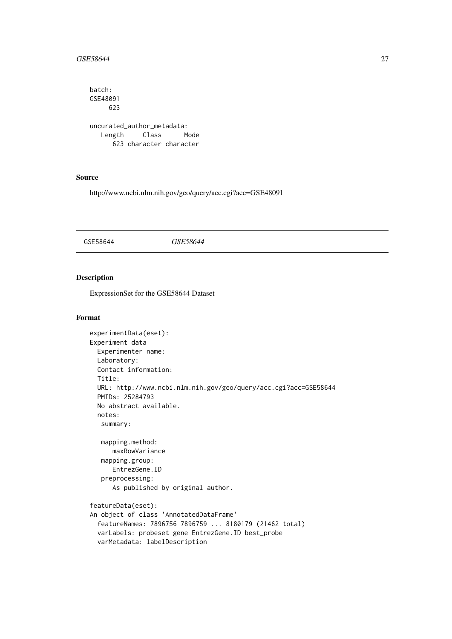#### <span id="page-26-0"></span> $GSE58644$  27

```
batch:
GSE48091
    623
uncurated_author_metadata:
  Length Class Mode
     623 character character
```
# Source

http://www.ncbi.nlm.nih.gov/geo/query/acc.cgi?acc=GSE48091

GSE58644 *GSE58644*

# Description

ExpressionSet for the GSE58644 Dataset

```
experimentData(eset):
Experiment data
 Experimenter name:
 Laboratory:
 Contact information:
 Title:
 URL: http://www.ncbi.nlm.nih.gov/geo/query/acc.cgi?acc=GSE58644
 PMIDs: 25284793
 No abstract available.
 notes:
   summary:
   mapping.method:
     maxRowVariance
   mapping.group:
     EntrezGene.ID
   preprocessing:
      As published by original author.
featureData(eset):
An object of class 'AnnotatedDataFrame'
  featureNames: 7896756 7896759 ... 8180179 (21462 total)
 varLabels: probeset gene EntrezGene.ID best_probe
 varMetadata: labelDescription
```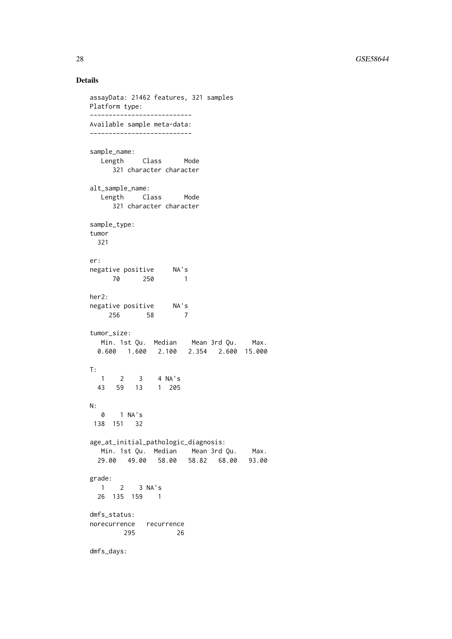```
assayData: 21462 features, 321 samples
Platform type:
---------------------------
Available sample meta-data:
---------------------------
sample_name:
  Length Class Mode
     321 character character
alt_sample_name:
  Length Class Mode
     321 character character
sample_type:
tumor
 321
er:
negative positive NA's
  70 250 1
her2:
negative positive NA's<br>256 Fe
   256 58 7
tumor_size:
  Min. 1st Qu. Median Mean 3rd Qu. Max.
 0.600 1.600 2.100 2.354 2.600 15.000
T:
  1 2 3 4 NA's
 43 59 13 1 205
N:0 1 NA's
138 151 32
age_at_initial_pathologic_diagnosis:
  Min. 1st Qu. Median Mean 3rd Qu. Max.
 29.00 49.00 58.00 58.82 68.00 93.00
grade:
 1 2 3 NA's
 26 135 159 1
dmfs_status:
norecurrence recurrence
       295 26
dmfs_days:
```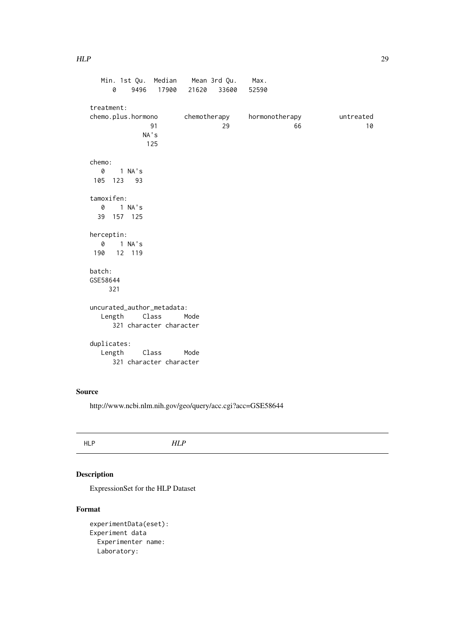```
Min. 1st Qu. Median Mean 3rd Qu. Max.
    0 9496 17900 21620 33600 52590
treatment:
chemo.plus.hormono chemotherapy hormonotherapy untreated
            91 29 66 10
          NA's
           125
chemo:
  0 1 NA's
105 123 93
tamoxifen:
 0 1 NA's
 39 157 125
herceptin:
  0 1 NA's
190 12 119
batch:
GSE58644
    321
uncurated_author_metadata:
  Length Class Mode
    321 character character
duplicates:
  Length Class Mode
    321 character character
```
http://www.ncbi.nlm.nih.gov/geo/query/acc.cgi?acc=GSE58644

### Description

ExpressionSet for the HLP Dataset

```
experimentData(eset):
Experiment data
 Experimenter name:
 Laboratory:
```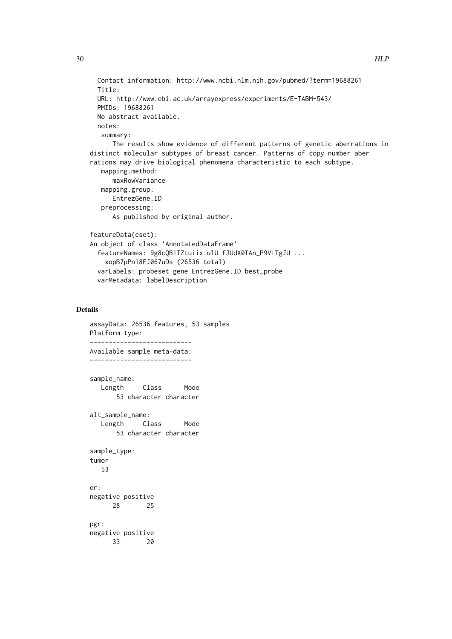```
Contact information: http://www.ncbi.nlm.nih.gov/pubmed/?term=19688261
  Title:
 URL: http://www.ebi.ac.uk/arrayexpress/experiments/E-TABM-543/
 PMIDs: 19688261
 No abstract available.
 notes:
   summary:
      The results show evidence of different patterns of genetic aberrations in
distinct molecular subtypes of breast cancer. Patterns of copy number aber
rations may drive biological phenomena characteristic to each subtype.
   mapping.method:
      maxRowVariance
   mapping.group:
      EntrezGene.ID
   preprocessing:
      As published by original author.
featureData(eset):
An object of class 'AnnotatedDataFrame'
  featureNames: 9g8cQB1TZtuiix.ulU fJUdX0IAn_P9VLTgJU ...
    xopB7pPn18FJ067uDs (26536 total)
 varLabels: probeset gene EntrezGene.ID best_probe
 varMetadata: labelDescription
```

```
assayData: 26536 features, 53 samples
Platform type:
---------------------------
Available sample meta-data:
---------------------------
sample_name:
  Length Class Mode
      53 character character
alt_sample_name:
  Length Class Mode
      53 character character
sample_type:
tumor
  53
er:
negative positive
     28 25
pgr:
negative positive
     33 20
```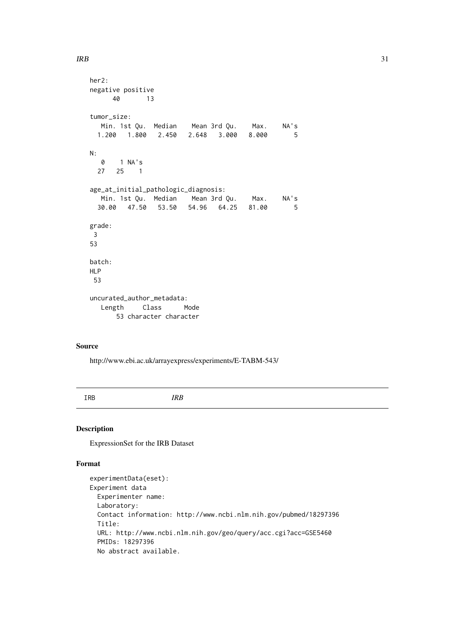```
her2:
negative positive
     40 13
tumor_size:
  Min. 1st Qu. Median Mean 3rd Qu. Max. NA's
 1.200 1.800 2.450 2.648 3.000 8.000 5
N:
 0 1 NA's<br>27 25 1
      25 \t 1age_at_initial_pathologic_diagnosis:
  Min. 1st Qu. Median Mean 3rd Qu. Max. NA's
 30.00 47.50 53.50 54.96 64.25 81.00 5
grade:
3
53
batch:
HLP
 53
uncurated_author_metadata:
  Length Class Mode
      53 character character
```
http://www.ebi.ac.uk/arrayexpress/experiments/E-TABM-543/

IRB *IRB*

### Description

ExpressionSet for the IRB Dataset

```
experimentData(eset):
Experiment data
 Experimenter name:
 Laboratory:
 Contact information: http://www.ncbi.nlm.nih.gov/pubmed/18297396
 Title:
 URL: http://www.ncbi.nlm.nih.gov/geo/query/acc.cgi?acc=GSE5460
 PMIDs: 18297396
 No abstract available.
```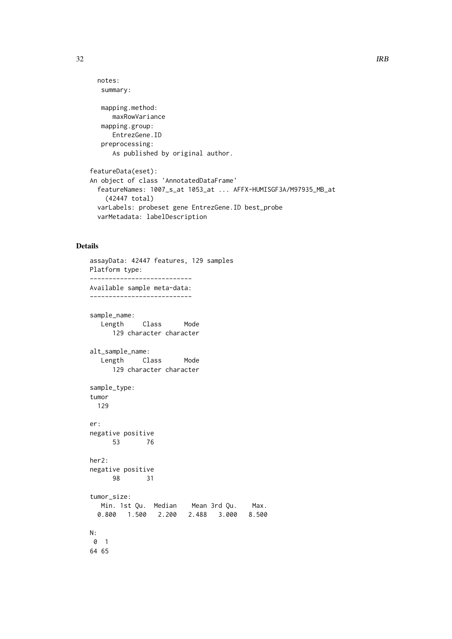```
notes:
   summary:
   mapping.method:
     maxRowVariance
   mapping.group:
     EntrezGene.ID
   preprocessing:
      As published by original author.
featureData(eset):
An object of class 'AnnotatedDataFrame'
 featureNames: 1007_s_at 1053_at ... AFFX-HUMISGF3A/M97935_MB_at
    (42447 total)
 varLabels: probeset gene EntrezGene.ID best_probe
 varMetadata: labelDescription
```

```
assayData: 42447 features, 129 samples
Platform type:
---------------------------
Available sample meta-data:
---------------------------
sample_name:
  Length Class Mode
     129 character character
alt_sample_name:
  Length Class Mode
     129 character character
sample_type:
tumor
 129
er:
negative positive
     53 76
her2:
negative positive
     98 31
tumor_size:
  Min. 1st Qu. Median Mean 3rd Qu. Max.
 0.800 1.500 2.200 2.488 3.000 8.500
N:
0 1
64 65
```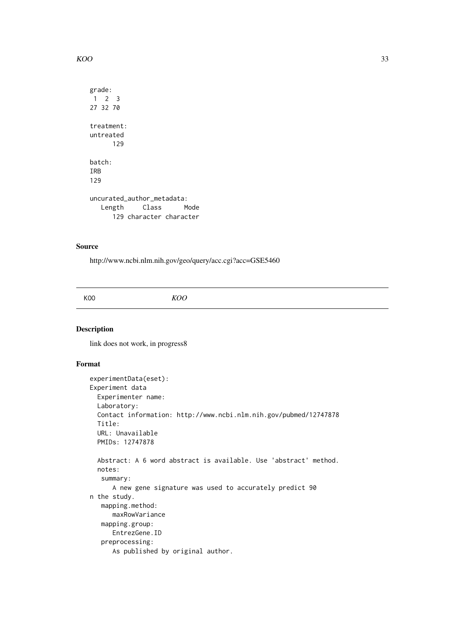```
KOO 33
```

```
grade:
1 2 3
27 32 70
treatment:
untreated
     129
batch:
IRB
129
uncurated_author_metadata:
  Length Class Mode
     129 character character
```
http://www.ncbi.nlm.nih.gov/geo/query/acc.cgi?acc=GSE5460

KOO *KOO*

# Description

link does not work, in progress8

```
experimentData(eset):
Experiment data
 Experimenter name:
 Laboratory:
 Contact information: http://www.ncbi.nlm.nih.gov/pubmed/12747878
 Title:
 URL: Unavailable
 PMIDs: 12747878
 Abstract: A 6 word abstract is available. Use 'abstract' method.
 notes:
   summary:
     A new gene signature was used to accurately predict 90
n the study.
   mapping.method:
      maxRowVariance
   mapping.group:
     EntrezGene.ID
   preprocessing:
      As published by original author.
```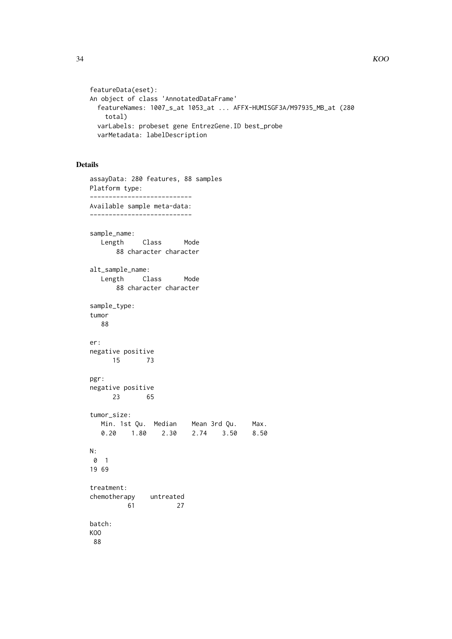```
featureData(eset):
An object of class 'AnnotatedDataFrame'
  featureNames: 1007_s_at 1053_at ... AFFX-HUMISGF3A/M97935_MB_at (280
    total)
 varLabels: probeset gene EntrezGene.ID best_probe
 varMetadata: labelDescription
```

```
assayData: 280 features, 88 samples
Platform type:
---------------------------
Available sample meta-data:
---------------------------
sample_name:
  Length Class Mode
      88 character character
alt_sample_name:
  Length Class Mode
      88 character character
sample_type:
tumor
  88
er:
negative positive
     15 73
pgr:
negative positive
     23 65
tumor_size:
  Min. 1st Qu. Median Mean 3rd Qu. Max.
  0.20 1.80 2.30 2.74 3.50 8.50
N:
0 1
19 69
treatment:
chemotherapy untreated
        61 27
batch:
KOO
88
```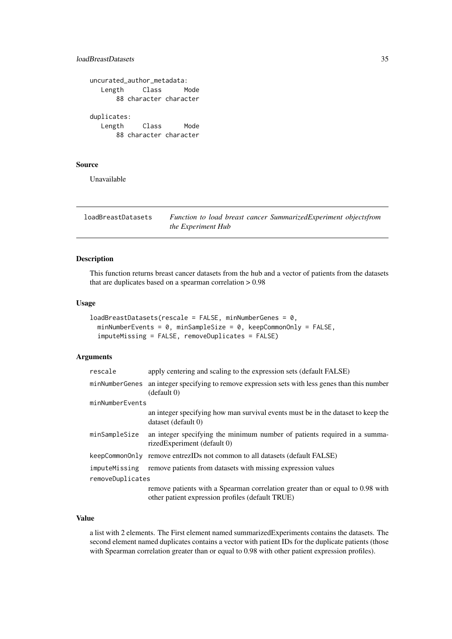#### <span id="page-34-0"></span>loadBreastDatasets 35

|                       | uncurated_author_metadata:      |      |
|-----------------------|---------------------------------|------|
| Length                | Class                           | Mode |
|                       | 88 character character          |      |
| duplicates:<br>Length | Class<br>88 character character | Mode |

# Source

Unavailable

loadBreastDatasets *Function to load breast cancer SummarizedExperiment objectsfrom the Experiment Hub*

# Description

This function returns breast cancer datasets from the hub and a vector of patients from the datasets that are duplicates based on a spearman correlation > 0.98

### Usage

```
loadBreastDatasets(rescale = FALSE, minNumberGenes = 0,
 minNumberEvents = 0, minSampleSize = 0, keepCommonOnly = FALSE,
  imputeMissing = FALSE, removeDuplicates = FALSE)
```
# Arguments

| minNumberGenes an integer specifying to remove expression sets with less genes than this number<br>(detault 0)<br>minNumberEvents<br>dataset (default 0)<br>minSampleSize<br>rizedExperiment (default 0)<br>keepCommonOnly remove entrezIDs not common to all datasets (default FALSE)<br>remove patients from datasets with missing expression values<br>imputeMissing<br>removeDuplicates<br>other patient expression profiles (default TRUE) | rescale | apply centering and scaling to the expression sets (default FALSE)               |
|-------------------------------------------------------------------------------------------------------------------------------------------------------------------------------------------------------------------------------------------------------------------------------------------------------------------------------------------------------------------------------------------------------------------------------------------------|---------|----------------------------------------------------------------------------------|
|                                                                                                                                                                                                                                                                                                                                                                                                                                                 |         |                                                                                  |
|                                                                                                                                                                                                                                                                                                                                                                                                                                                 |         |                                                                                  |
|                                                                                                                                                                                                                                                                                                                                                                                                                                                 |         | an integer specifying how man survival events must be in the dataset to keep the |
|                                                                                                                                                                                                                                                                                                                                                                                                                                                 |         | an integer specifying the minimum number of patients required in a summa-        |
|                                                                                                                                                                                                                                                                                                                                                                                                                                                 |         |                                                                                  |
|                                                                                                                                                                                                                                                                                                                                                                                                                                                 |         |                                                                                  |
|                                                                                                                                                                                                                                                                                                                                                                                                                                                 |         | remove patients with a Spearman correlation greater than or equal to 0.98 with   |

# Value

a list with 2 elements. The First element named summarizedExperiments contains the datasets. The second element named duplicates contains a vector with patient IDs for the duplicate patients (those with Spearman correlation greater than or equal to 0.98 with other patient expression profiles).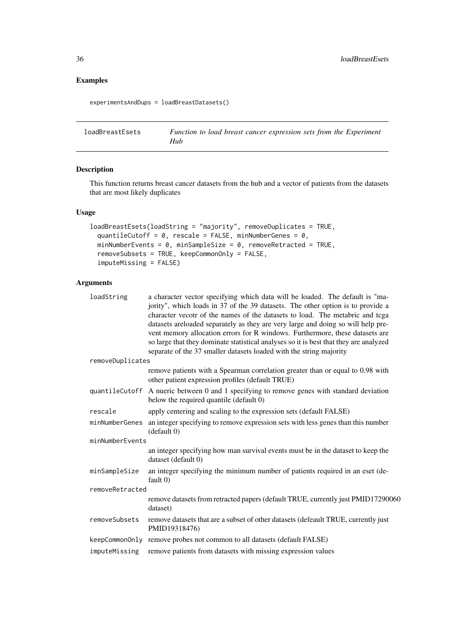# Examples

experimentsAndDups = loadBreastDatasets()

loadBreastEsets *Function to load breast cancer expression sets from the Experiment Hub*

# Description

This function returns breast cancer datasets from the hub and a vector of patients from the datasets that are most likely duplicates

# Usage

```
loadBreastEsets(loadString = "majority", removeDuplicates = TRUE,
 quantileCutoff = 0, rescale = FALSE, minNumberGenes = 0,
 minNumberEvents = 0, minSampleSize = 0, removeRetracted = TRUE,
 removeSubsets = TRUE, keepCommonOnly = FALSE,
 imputeMissing = FALSE)
```
# Arguments

| loadString       | a character vector specifying which data will be loaded. The default is "ma-<br>jority", which loads in 37 of the 39 datasets. The other option is to provide a<br>character vecotr of the names of the datasets to load. The metabric and tcga                                                                                  |
|------------------|----------------------------------------------------------------------------------------------------------------------------------------------------------------------------------------------------------------------------------------------------------------------------------------------------------------------------------|
|                  | datasets areloaded separately as they are very large and doing so will help pre-<br>vent memory allocation errors for R windows. Furthermore, these datasets are<br>so large that they dominate statistical analyses so it is best that they are analyzed<br>separate of the 37 smaller datasets loaded with the string majority |
| removeDuplicates |                                                                                                                                                                                                                                                                                                                                  |
|                  | remove patients with a Spearman correlation greater than or equal to 0.98 with<br>other patient expression profiles (default TRUE)                                                                                                                                                                                               |
|                  | quantileCutoff A nueric between 0 and 1 specifying to remove genes with standard deviation<br>below the required quantile (default 0)                                                                                                                                                                                            |
| rescale          | apply centering and scaling to the expression sets (default FALSE)                                                                                                                                                                                                                                                               |
| minNumberGenes   | an integer specifying to remove expression sets with less genes than this number<br>(default 0)                                                                                                                                                                                                                                  |
| minNumberEvents  |                                                                                                                                                                                                                                                                                                                                  |
|                  | an integer specifying how man survival events must be in the dataset to keep the<br>dataset (default 0)                                                                                                                                                                                                                          |
| minSampleSize    | an integer specifying the minimum number of patients required in an eset (de-<br>fault $(0)$                                                                                                                                                                                                                                     |
| removeRetracted  |                                                                                                                                                                                                                                                                                                                                  |
|                  | remove datasets from retracted papers (default TRUE, currently just PMID17290060<br>dataset)                                                                                                                                                                                                                                     |
| removeSubsets    | remove datasets that are a subset of other datasets (defeault TRUE, currently just<br>PMID19318476)                                                                                                                                                                                                                              |
| keepCommonOnly   | remove probes not common to all datasets (default FALSE)                                                                                                                                                                                                                                                                         |
| imputeMissing    | remove patients from datasets with missing expression values                                                                                                                                                                                                                                                                     |
|                  |                                                                                                                                                                                                                                                                                                                                  |

<span id="page-35-0"></span>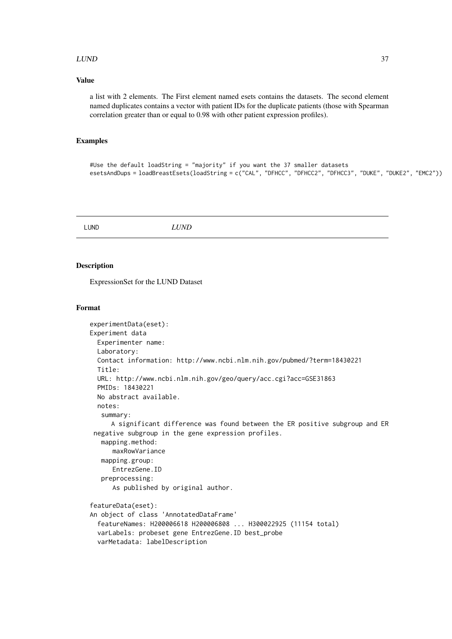#### $LUND$  37

### Value

a list with 2 elements. The First element named esets contains the datasets. The second element named duplicates contains a vector with patient IDs for the duplicate patients (those with Spearman correlation greater than or equal to 0.98 with other patient expression profiles).

## Examples

```
#Use the default loadString = "majority" if you want the 37 smaller datasets
esetsAndDups = loadBreastEsets(loadString = c("CAL", "DFHCC", "DFHCC2", "DFHCC3", "DUKE", "DUKE2", "EMC2"))
```
LUND *LUND*

#### Description

ExpressionSet for the LUND Dataset

```
experimentData(eset):
Experiment data
 Experimenter name:
 Laboratory:
 Contact information: http://www.ncbi.nlm.nih.gov/pubmed/?term=18430221
 Title:
 URL: http://www.ncbi.nlm.nih.gov/geo/query/acc.cgi?acc=GSE31863
 PMIDs: 18430221
 No abstract available.
 notes:
   summary:
     A significant difference was found between the ER positive subgroup and ER
 negative subgroup in the gene expression profiles.
   mapping.method:
      maxRowVariance
   mapping.group:
      EntrezGene.ID
   preprocessing:
      As published by original author.
featureData(eset):
An object of class 'AnnotatedDataFrame'
  featureNames: H200006618 H200006808 ... H300022925 (11154 total)
  varLabels: probeset gene EntrezGene.ID best_probe
  varMetadata: labelDescription
```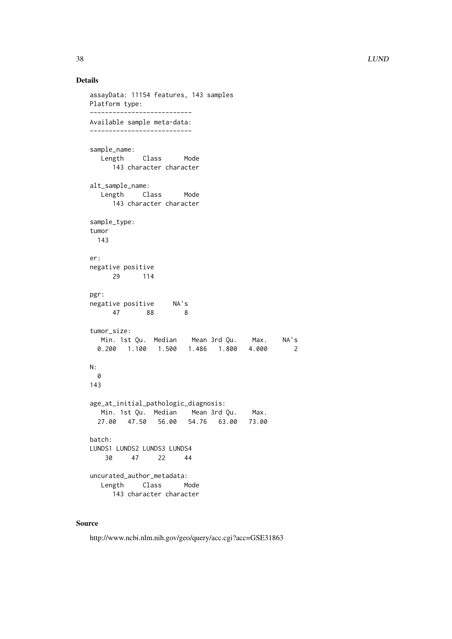```
assayData: 11154 features, 143 samples
Platform type:
---------------------------
Available sample meta-data:
---------------------------
sample_name:
  Length Class Mode
     143 character character
alt_sample_name:
  Length Class Mode
     143 character character
sample_type:
tumor
 143
er:
negative positive
     29 114
pgr:
negative positive NA's
   47 88 8
tumor_size:
  Min. 1st Qu. Median Mean 3rd Qu. Max. NA's
 0.200 1.100 1.500 1.486 1.800 4.000 2
N:
 \boldsymbol{\varnothing}143
age_at_initial_pathologic_diagnosis:
  Min. 1st Qu. Median Mean 3rd Qu. Max.
 27.00 47.50 56.00 54.76 63.00 73.00
batch:
LUNDS1 LUNDS2 LUNDS3 LUNDS4
   30 47 22 44
uncurated_author_metadata:
  Length Class Mode
     143 character character
```
## Source

http://www.ncbi.nlm.nih.gov/geo/query/acc.cgi?acc=GSE31863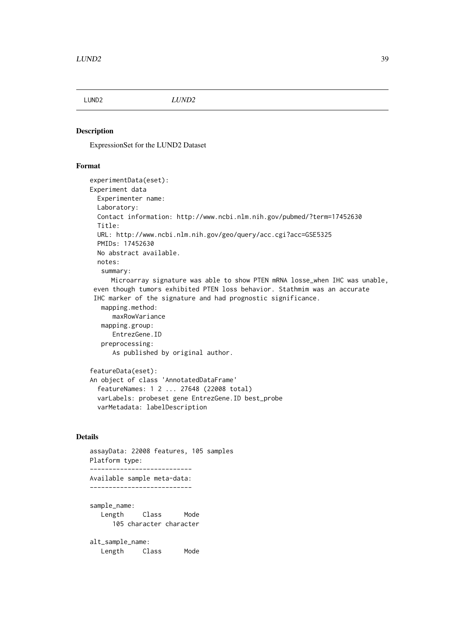## Description

ExpressionSet for the LUND2 Dataset

### Format

```
experimentData(eset):
Experiment data
 Experimenter name:
 Laboratory:
 Contact information: http://www.ncbi.nlm.nih.gov/pubmed/?term=17452630
 Title:
 URL: http://www.ncbi.nlm.nih.gov/geo/query/acc.cgi?acc=GSE5325
 PMIDs: 17452630
 No abstract available.
 notes:
   summary:
     Microarray signature was able to show PTEN mRNA losse_when IHC was unable,
 even though tumors exhibited PTEN loss behavior. Stathmim was an accurate
 IHC marker of the signature and had prognostic significance.
   mapping.method:
      maxRowVariance
   mapping.group:
      EntrezGene.ID
   preprocessing:
      As published by original author.
featureData(eset):
An object of class 'AnnotatedDataFrame'
  featureNames: 1 2 ... 27648 (22008 total)
  varLabels: probeset gene EntrezGene.ID best_probe
 varMetadata: labelDescription
```

```
assayData: 22008 features, 105 samples
Platform type:
---------------------------
Available sample meta-data:
---------------------------
sample_name:
  Length Class Mode
     105 character character
alt_sample_name:
  Length Class Mode
```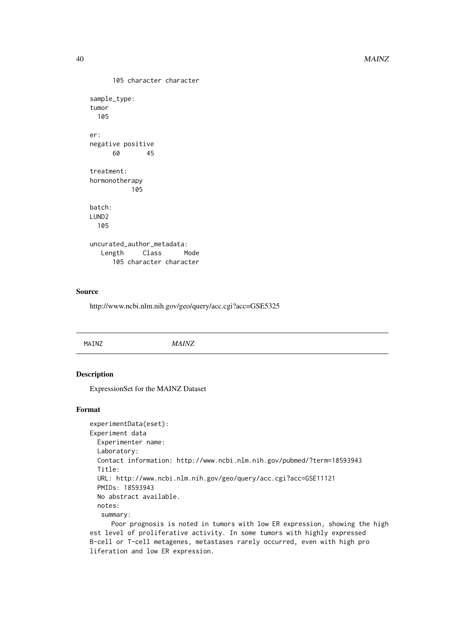```
105 character character
sample_type:
tumor
 105
er:
negative positive
     60 45
treatment:
hormonotherapy
          105
batch:
LUND2
 105
uncurated_author_metadata:
  Length Class Mode
     105 character character
```
#### Source

http://www.ncbi.nlm.nih.gov/geo/query/acc.cgi?acc=GSE5325

| INZ<br>-------- |  |  |  |
|-----------------|--|--|--|
|-----------------|--|--|--|

## Description

ExpressionSet for the MAINZ Dataset

```
experimentData(eset):
Experiment data
 Experimenter name:
 Laboratory:
 Contact information: http://www.ncbi.nlm.nih.gov/pubmed/?term=18593943
 Title:
 URL: http://www.ncbi.nlm.nih.gov/geo/query/acc.cgi?acc=GSE11121
 PMIDs: 18593943
 No abstract available.
 notes:
   summary:
     Poor prognosis is noted in tumors with low ER expression, showing the high
est level of proliferative activity. In some tumors with highly expressed
B-cell or T-cell metagenes, metastases rarely occurred, even with high pro
liferation and low ER expression.
```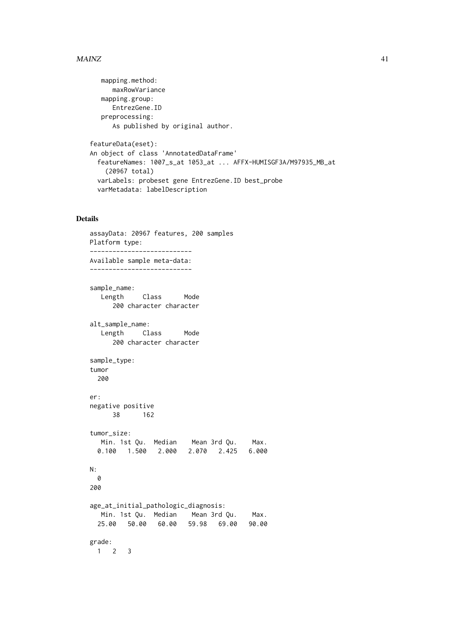### $MAINZ$  and the set of the set of the set of the set of the set of the set of the set of the set of the set of the set of the set of the set of the set of the set of the set of the set of the set of the set of the set of th

```
mapping.method:
     maxRowVariance
   mapping.group:
     EntrezGene.ID
   preprocessing:
      As published by original author.
featureData(eset):
An object of class 'AnnotatedDataFrame'
  featureNames: 1007_s_at 1053_at ... AFFX-HUMISGF3A/M97935_MB_at
    (20967 total)
 varLabels: probeset gene EntrezGene.ID best_probe
 varMetadata: labelDescription
```

```
assayData: 20967 features, 200 samples
Platform type:
---------------------------
Available sample meta-data:
---------------------------
sample_name:
  Length Class Mode
     200 character character
alt_sample_name:
  Length Class Mode
     200 character character
sample_type:
tumor
 200
er:
negative positive
    38 162
tumor_size:
  Min. 1st Qu. Median Mean 3rd Qu. Max.
 0.100 1.500 2.000 2.070 2.425 6.000
N:
 0
200
age_at_initial_pathologic_diagnosis:
  Min. 1st Qu. Median Mean 3rd Qu. Max.
 25.00 50.00 60.00 59.98 69.00 90.00
grade:
 1 2 3
```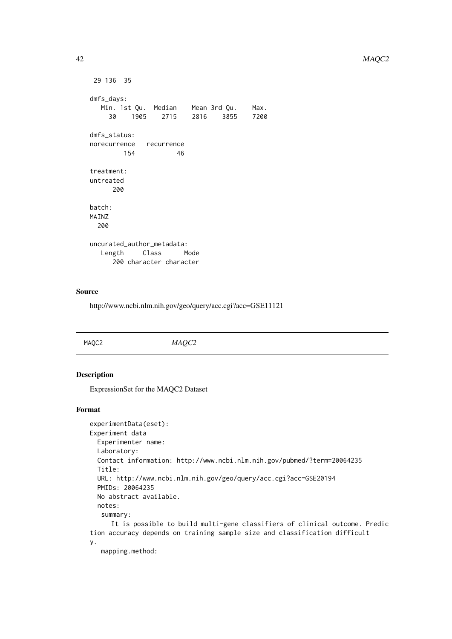#### 42 MAQC2

```
29 136 35
dmfs_days:
  Min. 1st Qu. Median Mean 3rd Qu. Max.
    30 1905 2715 2816 3855 7200
dmfs_status:
norecurrence recurrence
       154 46
treatment:
untreated
     200
batch:
MAINZ
 200
uncurated_author_metadata:
  Length Class Mode
     200 character character
```
### Source

http://www.ncbi.nlm.nih.gov/geo/query/acc.cgi?acc=GSE11121

| MAQC2 | MAUC<br>$\frac{1}{2}$ |  |
|-------|-----------------------|--|
|       |                       |  |

## Description

ExpressionSet for the MAQC2 Dataset

## Format

```
experimentData(eset):
Experiment data
 Experimenter name:
 Laboratory:
 Contact information: http://www.ncbi.nlm.nih.gov/pubmed/?term=20064235
 Title:
 URL: http://www.ncbi.nlm.nih.gov/geo/query/acc.cgi?acc=GSE20194
 PMIDs: 20064235
 No abstract available.
 notes:
   summary:
     It is possible to build multi-gene classifiers of clinical outcome. Predic
tion accuracy depends on training sample size and classification difficult
y.
```
mapping.method: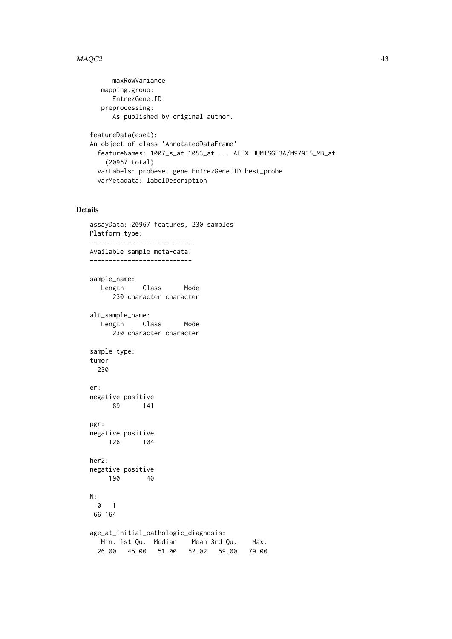### $MAQC2$  and the contract of the contract of the contract of the contract of the contract of the contract of the contract of the contract of the contract of the contract of the contract of the contract of the contract of the

```
maxRowVariance
  mapping.group:
     EntrezGene.ID
   preprocessing:
      As published by original author.
featureData(eset):
An object of class 'AnnotatedDataFrame'
 featureNames: 1007_s_at 1053_at ... AFFX-HUMISGF3A/M97935_MB_at
    (20967 total)
 varLabels: probeset gene EntrezGene.ID best_probe
 varMetadata: labelDescription
```

```
assayData: 20967 features, 230 samples
Platform type:
---------------------------
Available sample meta-data:
---------------------------
sample_name:
  Length Class Mode
     230 character character
alt_sample_name:
  Length Class Mode
     230 character character
sample_type:
tumor
 230
er:
negative positive
     89 141
pgr:
negative positive
    126 104
her2:
negative positive
   190 40
N:
 0 1
66 164
age_at_initial_pathologic_diagnosis:
  Min. 1st Qu. Median Mean 3rd Qu. Max.
 26.00 45.00 51.00 52.02 59.00 79.00
```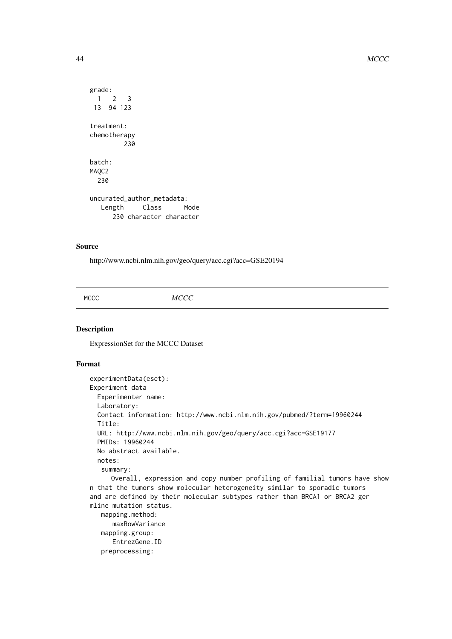```
grade:
 1 2 3
 13 94 123
treatment:
chemotherapy
         230
batch:
MAOC<sub>2</sub>
 230
uncurated_author_metadata:
  Length Class Mode
      230 character character
```
## Source

http://www.ncbi.nlm.nih.gov/geo/query/acc.cgi?acc=GSE20194

MCCC *MCCC*

## Description

ExpressionSet for the MCCC Dataset

preprocessing:

```
experimentData(eset):
Experiment data
 Experimenter name:
 Laboratory:
 Contact information: http://www.ncbi.nlm.nih.gov/pubmed/?term=19960244
 Title:
 URL: http://www.ncbi.nlm.nih.gov/geo/query/acc.cgi?acc=GSE19177
 PMIDs: 19960244
 No abstract available.
 notes:
   summary:
     Overall, expression and copy number profiling of familial tumors have show
n that the tumors show molecular heterogeneity similar to sporadic tumors
and are defined by their molecular subtypes rather than BRCA1 or BRCA2 ger
mline mutation status.
   mapping.method:
      maxRowVariance
   mapping.group:
      EntrezGene.ID
```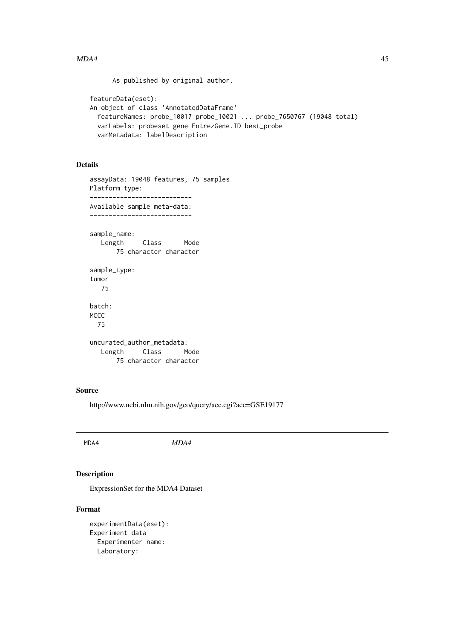#### $MDA4$  and the set of the set of the set of the set of the set of the set of the set of the set of the set of the set of the set of the set of the set of the set of the set of the set of the set of the set of the set of th

As published by original author.

```
featureData(eset):
An object of class 'AnnotatedDataFrame'
  featureNames: probe_10017 probe_10021 ... probe_7650767 (19048 total)
 varLabels: probeset gene EntrezGene.ID best_probe
 varMetadata: labelDescription
```
# Details

```
assayData: 19048 features, 75 samples
Platform type:
---------------------------
Available sample meta-data:
---------------------------
sample_name:
  Length Class Mode
      75 character character
sample_type:
tumor
   75
batch:
MCCC
  75
uncurated_author_metadata:
  Length Class Mode
      75 character character
```
## Source

http://www.ncbi.nlm.nih.gov/geo/query/acc.cgi?acc=GSE19177

MDA4 *MDA4*

## Description

ExpressionSet for the MDA4 Dataset

```
experimentData(eset):
Experiment data
 Experimenter name:
 Laboratory:
```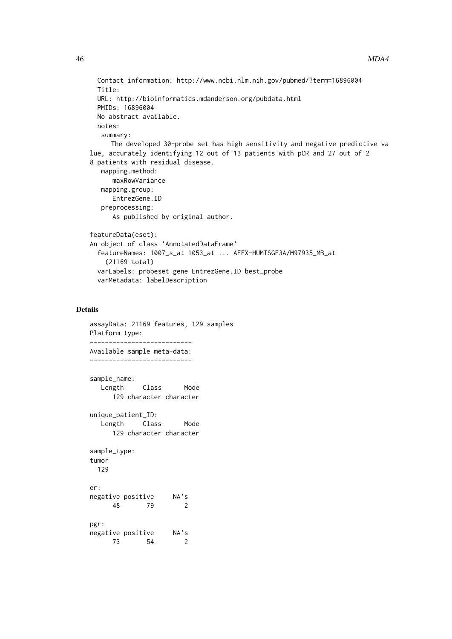```
Contact information: http://www.ncbi.nlm.nih.gov/pubmed/?term=16896004
  Title:
 URL: http://bioinformatics.mdanderson.org/pubdata.html
 PMIDs: 16896004
 No abstract available.
 notes:
   summary:
     The developed 30-probe set has high sensitivity and negative predictive va
lue, accurately identifying 12 out of 13 patients with pCR and 27 out of 2
8 patients with residual disease.
   mapping.method:
      maxRowVariance
   mapping.group:
      EntrezGene.ID
   preprocessing:
      As published by original author.
featureData(eset):
An object of class 'AnnotatedDataFrame'
  featureNames: 1007_s_at 1053_at ... AFFX-HUMISGF3A/M97935_MB_at
    (21169 total)
 varLabels: probeset gene EntrezGene.ID best_probe
 varMetadata: labelDescription
```

```
assayData: 21169 features, 129 samples
Platform type:
---------------------------
Available sample meta-data:
---------------------------
sample_name:
  Length Class Mode
     129 character character
unique_patient_ID:
  Length Class Mode
     129 character character
sample_type:
tumor
 129
er:
negative positive NA's
     48 79 2
pgr:
negative positive NA's
     73 54 2
```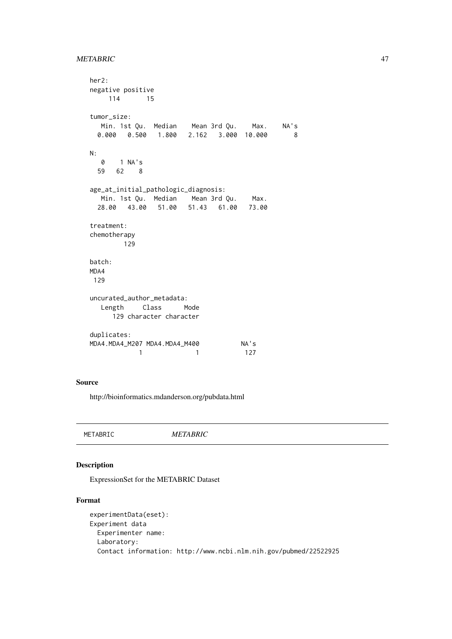### METABRIC 47

```
her2:
negative positive
   114 15
tumor_size:
  Min. 1st Qu. Median Mean 3rd Qu. Max. NA's
 0.000 0.500 1.800 2.162 3.000 10.000 8
N:
  0 1 NA's
 59 62 8
age_at_initial_pathologic_diagnosis:
  Min. 1st Qu. Median Mean 3rd Qu. Max.
 28.00 43.00 51.00 51.43 61.00 73.00
treatment:
chemotherapy
       129
batch:
MDA4
129
uncurated_author_metadata:
  Length Class Mode
     129 character character
duplicates:
MDA4.MDA4_M207 MDA4.MDA4_M400 NA's
          1 1 127
```
#### Source

http://bioinformatics.mdanderson.org/pubdata.html

METABRIC *METABRIC*

### Description

ExpressionSet for the METABRIC Dataset

```
experimentData(eset):
Experiment data
 Experimenter name:
 Laboratory:
 Contact information: http://www.ncbi.nlm.nih.gov/pubmed/22522925
```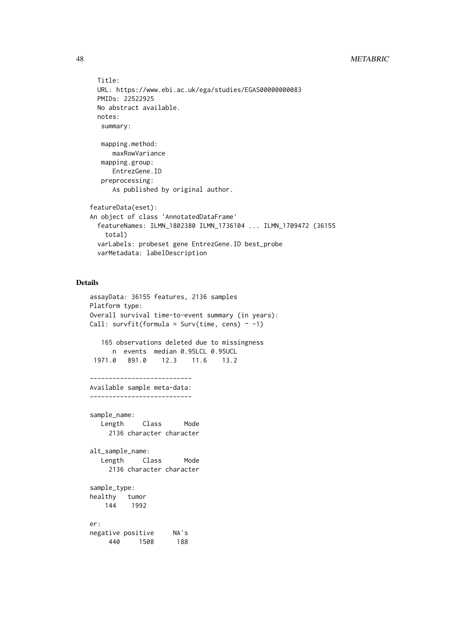```
Title:
 URL: https://www.ebi.ac.uk/ega/studies/EGAS00000000083
 PMIDs: 22522925
 No abstract available.
 notes:
  summary:
   mapping.method:
      maxRowVariance
   mapping.group:
     EntrezGene.ID
   preprocessing:
      As published by original author.
featureData(eset):
An object of class 'AnnotatedDataFrame'
  featureNames: ILMN_1802380 ILMN_1736104 ... ILMN_1709472 (36155
    total)
 varLabels: probeset gene EntrezGene.ID best_probe
 varMetadata: labelDescription
```

```
assayData: 36155 features, 2136 samples
Platform type:
Overall survival time-to-event summary (in years):
Call: survfit(formula = Surv(time, cens) \sim -1)
  165 observations deleted due to missingness
     n events median 0.95LCL 0.95UCL
1971.0 891.0 12.3 11.6 13.2
---------------------------
Available sample meta-data:
---------------------------
sample_name:
  Length Class Mode
    2136 character character
alt_sample_name:
  Length Class Mode
    2136 character character
sample_type:
healthy tumor
   144 1992
er:
negative positive NA's
    440 1508 188
```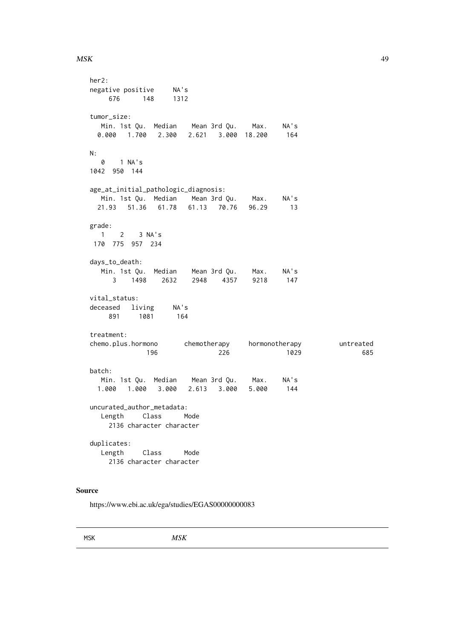#### $MSK$  49

her2: negative positive NA's 676 148 1312 tumor\_size: Min. 1st Qu. Median Mean 3rd Qu. Max. NA's 0.000 1.700 2.300 2.621 3.000 18.200 164 N: 0 1 NA's 1042 950 144 age\_at\_initial\_pathologic\_diagnosis: Min. 1st Qu. Median Mean 3rd Qu. Max. NA's 21.93 51.36 61.78 61.13 70.76 96.29 13 grade: 1 2 3 NA's 170 775 957 234 days\_to\_death: Min. 1st Qu. Median Mean 3rd Qu. Max. NA's 3 1498 2632 2948 4357 9218 147 vital\_status: deceased living NA's 891 1081 164 treatment: chemo.plus.hormono chemotherapy hormonotherapy untreated 196 226 1029 685 batch: Min. 1st Qu. Median Mean 3rd Qu. Max. NA's 1.000 1.000 3.000 2.613 3.000 5.000 144 uncurated\_author\_metadata: Length Class Mode 2136 character character duplicates: Length Class Mode 2136 character character

## Source

https://www.ebi.ac.uk/ega/studies/EGAS00000000083

MSK *MSK*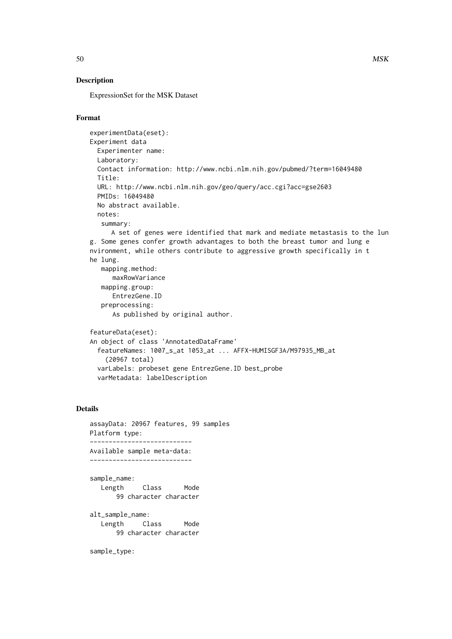## Description

ExpressionSet for the MSK Dataset

## Format

```
experimentData(eset):
Experiment data
 Experimenter name:
 Laboratory:
 Contact information: http://www.ncbi.nlm.nih.gov/pubmed/?term=16049480
 Title:
 URL: http://www.ncbi.nlm.nih.gov/geo/query/acc.cgi?acc=gse2603
 PMIDs: 16049480
 No abstract available.
 notes:
   summary:
     A set of genes were identified that mark and mediate metastasis to the lun
g. Some genes confer growth advantages to both the breast tumor and lung e
nvironment, while others contribute to aggressive growth specifically in t
he lung.
   mapping.method:
     maxRowVariance
   mapping.group:
     EntrezGene.ID
   preprocessing:
```
As published by original author.

```
featureData(eset):
An object of class 'AnnotatedDataFrame'
  featureNames: 1007_s_at 1053_at ... AFFX-HUMISGF3A/M97935_MB_at
    (20967 total)
 varLabels: probeset gene EntrezGene.ID best_probe
 varMetadata: labelDescription
```
#### Details

```
assayData: 20967 features, 99 samples
Platform type:
---------------------------
Available sample meta-data:
---------------------------
sample_name:
  Length Class Mode
      99 character character
alt_sample_name:
   Length Class Mode
      99 character character
```
sample\_type: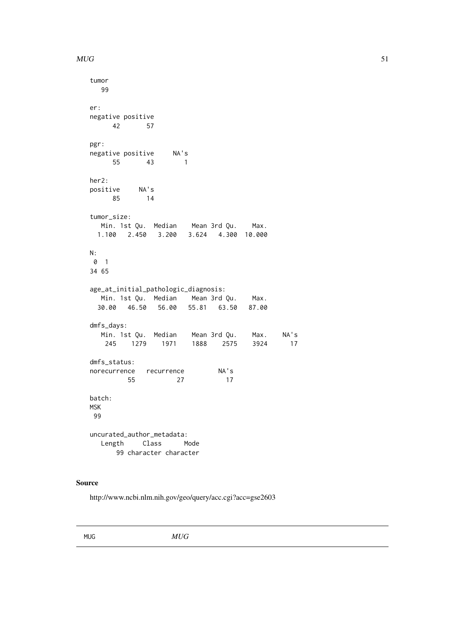#### $MUG$  51

```
tumor
  99
er:
negative positive
    42 57
pgr:
negative positive NA's
    55 43 1
her2:
positive NA's
    85 14
tumor_size:
  Min. 1st Qu. Median Mean 3rd Qu. Max.
 1.100 2.450 3.200 3.624 4.300 10.000
N:
0 1
34 65
age_at_initial_pathologic_diagnosis:
  Min. 1st Qu. Median Mean 3rd Qu. Max.
 30.00 46.50 56.00 55.81 63.50 87.00
dmfs_days:
  Min. 1st Qu. Median Mean 3rd Qu. Max. NA's
   245 1279 1971 1888 2575 3924 17
dmfs_status:
norecurrence recurrence NA's
        55 27 17
batch:
MSK
99
uncurated_author_metadata:
  Length Class Mode
     99 character character
```
### Source

http://www.ncbi.nlm.nih.gov/geo/query/acc.cgi?acc=gse2603

MUG *MUG*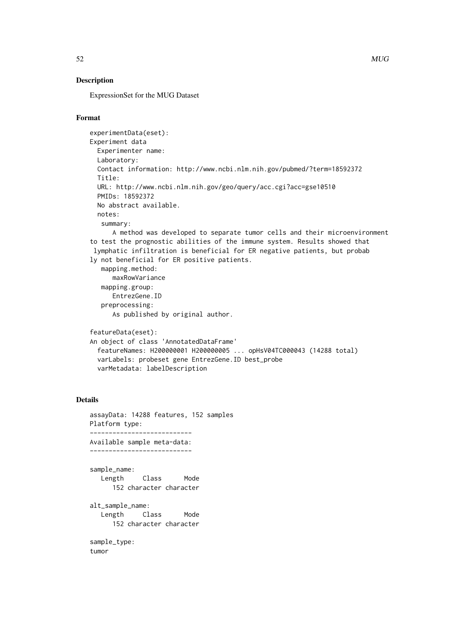## Description

ExpressionSet for the MUG Dataset

## Format

```
experimentData(eset):
Experiment data
 Experimenter name:
 Laboratory:
 Contact information: http://www.ncbi.nlm.nih.gov/pubmed/?term=18592372
 Title:
 URL: http://www.ncbi.nlm.nih.gov/geo/query/acc.cgi?acc=gse10510
 PMIDs: 18592372
 No abstract available.
 notes:
   summary:
      A method was developed to separate tumor cells and their microenvironment
to test the prognostic abilities of the immune system. Results showed that
 lymphatic infiltration is beneficial for ER negative patients, but probab
ly not beneficial for ER positive patients.
   mapping.method:
      maxRowVariance
   mapping.group:
     EntrezGene.ID
   preprocessing:
      As published by original author.
featureData(eset):
An object of class 'AnnotatedDataFrame'
  featureNames: H200000001 H200000005 ... opHsV04TC000043 (14288 total)
 varLabels: probeset gene EntrezGene.ID best_probe
 varMetadata: labelDescription
```

```
assayData: 14288 features, 152 samples
Platform type:
---------------------------
Available sample meta-data:
---------------------------
sample_name:
  Length Class Mode
     152 character character
alt_sample_name:
  Length Class Mode
     152 character character
sample_type:
tumor
```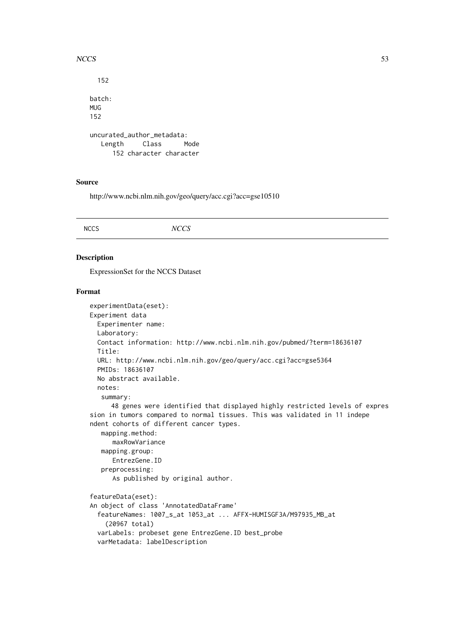#### $NCCS$  53

```
152
batch:
MUG
152
uncurated_author_metadata:
  Length Class Mode
     152 character character
```
## Source

http://www.ncbi.nlm.nih.gov/geo/query/acc.cgi?acc=gse10510

## Description

ExpressionSet for the NCCS Dataset

```
experimentData(eset):
Experiment data
 Experimenter name:
 Laboratory:
 Contact information: http://www.ncbi.nlm.nih.gov/pubmed/?term=18636107
 Title:
 URL: http://www.ncbi.nlm.nih.gov/geo/query/acc.cgi?acc=gse5364
 PMIDs: 18636107
 No abstract available.
 notes:
   summary:
     48 genes were identified that displayed highly restricted levels of expres
sion in tumors compared to normal tissues. This was validated in 11 indepe
ndent cohorts of different cancer types.
   mapping.method:
     maxRowVariance
   mapping.group:
     EntrezGene.ID
   preprocessing:
      As published by original author.
featureData(eset):
An object of class 'AnnotatedDataFrame'
  featureNames: 1007_s_at 1053_at ... AFFX-HUMISGF3A/M97935_MB_at
    (20967 total)
 varLabels: probeset gene EntrezGene.ID best_probe
 varMetadata: labelDescription
```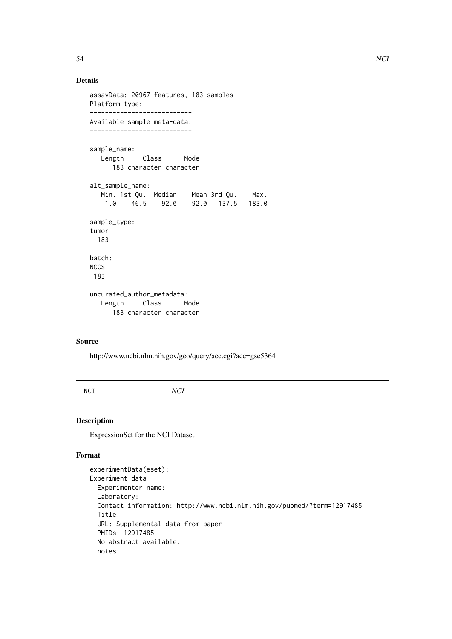```
assayData: 20967 features, 183 samples
Platform type:
---------------------------
Available sample meta-data:
---------------------------
sample_name:
  Length Class Mode
     183 character character
alt_sample_name:
  Min. 1st Qu. Median Mean 3rd Qu. Max.
                1.0 46.5 92.0 92.0 137.5 183.0
sample_type:
tumor
  183
batch:
NCCS
 183
uncurated_author_metadata:
  Length Class Mode
     183 character character
```
## Source

http://www.ncbi.nlm.nih.gov/geo/query/acc.cgi?acc=gse5364

NCI *NCI*

### Description

ExpressionSet for the NCI Dataset

```
experimentData(eset):
Experiment data
 Experimenter name:
 Laboratory:
 Contact information: http://www.ncbi.nlm.nih.gov/pubmed/?term=12917485
 Title:
 URL: Supplemental data from paper
 PMIDs: 12917485
 No abstract available.
 notes:
```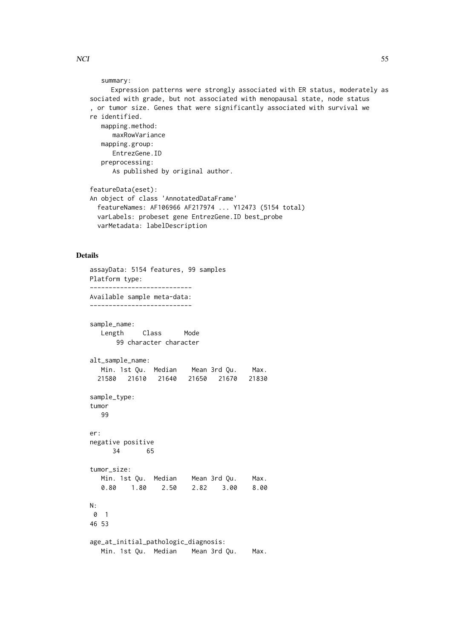```
summary:
     Expression patterns were strongly associated with ER status, moderately as
sociated with grade, but not associated with menopausal state, node status
```
, or tumor size. Genes that were significantly associated with survival we re identified. mapping.method: maxRowVariance mapping.group: EntrezGene.ID preprocessing: As published by original author. featureData(eset):

```
An object of class 'AnnotatedDataFrame'
  featureNames: AF106966 AF217974 ... Y12473 (5154 total)
  varLabels: probeset gene EntrezGene.ID best_probe
 varMetadata: labelDescription
```

```
assayData: 5154 features, 99 samples
Platform type:
---------------------------
Available sample meta-data:
---------------------------
sample_name:
  Length Class Mode
      99 character character
alt_sample_name:
  Min. 1st Qu. Median Mean 3rd Qu. Max.
 21580 21610 21640 21650 21670 21830
sample_type:
tumor
  99
er:
negative positive
     34 65
tumor_size:
  Min. 1st Qu. Median Mean 3rd Qu. Max.
  0.80 1.80 2.50 2.82 3.00 8.00
N:
0 1
46 53
age_at_initial_pathologic_diagnosis:
  Min. 1st Qu. Median Mean 3rd Qu. Max.
```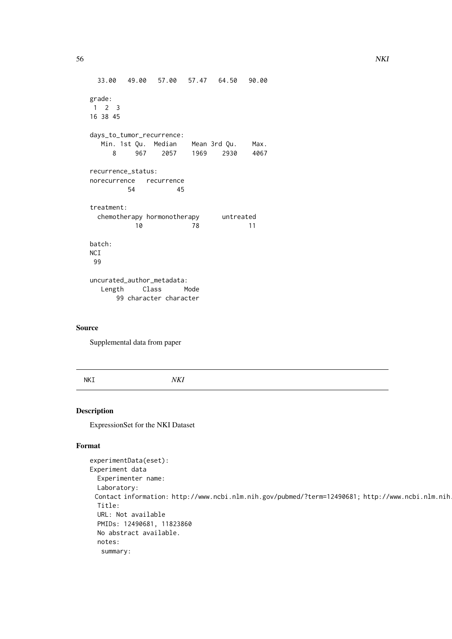```
33.00 49.00 57.00 57.47 64.50 90.00
grade:
1 2 3
16 38 45
days_to_tumor_recurrence:
  Min. 1st Qu. Median Mean 3rd Qu. Max.
    8 967 2057 1969 2930 4067
recurrence_status:
norecurrence recurrence
        54 45
treatment:
 chemotherapy hormonotherapy untreated
          10 78 11
batch:
NCI
99
uncurated_author_metadata:
  Length Class Mode
     99 character character
```
### Source

Supplemental data from paper

NKI *NKI*

## Description

ExpressionSet for the NKI Dataset

```
experimentData(eset):
Experiment data
 Experimenter name:
 Laboratory:
 Contact information: http://www.ncbi.nlm.nih.gov/pubmed/?term=12490681; http://www.ncbi.nlm.nih
 Title:
 URL: Not available
 PMIDs: 12490681, 11823860
 No abstract available.
 notes:
   summary:
```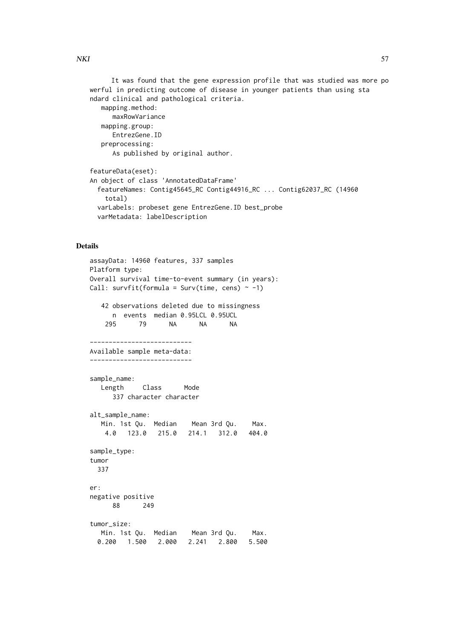NKI 57

mapping.method: maxRowVariance mapping.group: EntrezGene.ID preprocessing: As published by original author. featureData(eset): An object of class 'AnnotatedDataFrame' featureNames: Contig45645\_RC Contig44916\_RC ... Contig62037\_RC (14960 total) varLabels: probeset gene EntrezGene.ID best\_probe

```
varMetadata: labelDescription
```

```
assayData: 14960 features, 337 samples
Platform type:
Overall survival time-to-event summary (in years):
Call: survfit(formula = Surv(time, cens) \sim -1)
  42 observations deleted due to missingness
     n events median 0.95LCL 0.95UCL
    295 79 NA NA NA
---------------------------
Available sample meta-data:
---------------------------
sample_name:
  Length Class Mode
     337 character character
alt_sample_name:
  Min. 1st Qu. Median Mean 3rd Qu. Max.
   4.0 123.0 215.0 214.1 312.0 404.0
sample_type:
tumor
 337
er:
negative positive
     88 249
tumor_size:
  Min. 1st Qu. Median Mean 3rd Qu. Max.
 0.200 1.500 2.000 2.241 2.800 5.500
```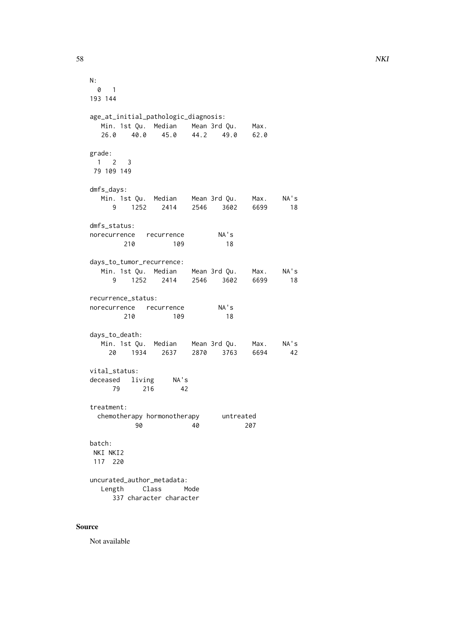```
N:
 0 1
193 144
age_at_initial_pathologic_diagnosis:
  Min. 1st Qu. Median Mean 3rd Qu. Max.
  26.0 40.0 45.0 44.2 49.0 62.0
grade:
1 2 3
79 109 149
dmfs_days:
  Min. 1st Qu. Median Mean 3rd Qu. Max. NA's
    9 1252 2414 2546 3602 6699 18
dmfs_status:
norecurrence recurrence NA's
     210 109 18
days_to_tumor_recurrence:
  Min. 1st Qu. Median Mean 3rd Qu. Max. NA's
    9 1252 2414 2546 3602 6699 18
recurrence_status:
norecurrence recurrence NA's
     210 109 18
days_to_death:
  Min. 1st Qu. Median Mean 3rd Qu. Max. NA's
   20 1934 2637 2870 3763 6694 42
vital_status:
deceased living NA's
    79 216 42
treatment:
 chemotherapy hormonotherapy untreated
        90 40 207
batch:
NKI NKI2
117 220
uncurated_author_metadata:
  Length Class Mode
    337 character character
```
## Source

Not available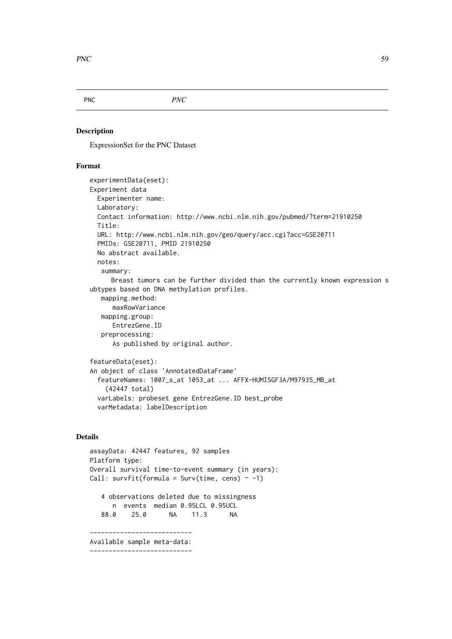PNC *PNC*

## Description

ExpressionSet for the PNC Dataset

### Format

```
experimentData(eset):
Experiment data
 Experimenter name:
 Laboratory:
 Contact information: http://www.ncbi.nlm.nih.gov/pubmed/?term=21910250
 Title:
 URL: http://www.ncbi.nlm.nih.gov/geo/query/acc.cgi?acc=GSE20711
 PMIDs: GSE20711, PMID 21910250
 No abstract available.
 notes:
   summary:
     Breast tumors can be further divided than the currently known expression s
ubtypes based on DNA methylation profiles.
   mapping.method:
      maxRowVariance
   mapping.group:
     EntrezGene.ID
   preprocessing:
      As published by original author.
featureData(eset):
An object of class 'AnnotatedDataFrame'
  featureNames: 1007_s_at 1053_at ... AFFX-HUMISGF3A/M97935_MB_at
    (42447 total)
 varLabels: probeset gene EntrezGene.ID best_probe
```
## varMetadata: labelDescription

```
assayData: 42447 features, 92 samples
Platform type:
Overall survival time-to-event summary (in years):
Call: survfit(formula = Surv(time, cens) \sim -1)
   4 observations deleted due to missingness
     n events median 0.95LCL 0.95UCL
   88.0 25.0 NA 11.3 NA
   ---------------------------
Available sample meta-data:
---------------------------
```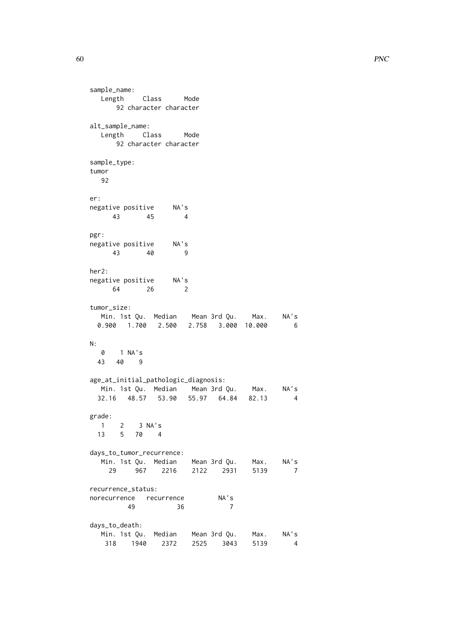60 PNC

sample\_name: Length Class Mode 92 character character alt\_sample\_name: Length Class Mode 92 character character sample\_type: tumor 92 er: negative positive NA's 43 45 4 pgr: negative positive NA's 43 40 9 her2: negative positive NA's<br>64 64 26 2 tumor\_size: Min. 1st Qu. Median Mean 3rd Qu. Max. NA's 0.900 1.700 2.500 2.758 3.000 10.000 6 N: 0 1 NA's 43 40 9 age\_at\_initial\_pathologic\_diagnosis: Min. 1st Qu. Median Mean 3rd Qu. Max. NA's 32.16 48.57 53.90 55.97 64.84 82.13 4 grade: 1 2 3 NA's 13 5 70 4 days\_to\_tumor\_recurrence: Min. 1st Qu. Median Mean 3rd Qu. Max. NA's 29 967 2216 2122 2931 5139 7 recurrence\_status: norecurrence recurrence NA's 49 36 7 days\_to\_death: Min. 1st Qu. Median Mean 3rd Qu. Max. NA's 318 1940 2372 2525 3043 5139 4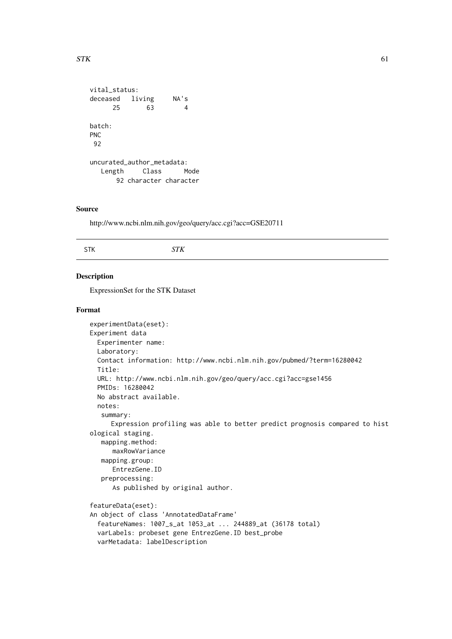```
STK 61
```

```
vital_status:
deceased living NA's
    25 63 4
batch:
PNC
92
uncurated_author_metadata:
  Length Class Mode
     92 character character
```
## Source

http://www.ncbi.nlm.nih.gov/geo/query/acc.cgi?acc=GSE20711

### Description

ExpressionSet for the STK Dataset

```
experimentData(eset):
Experiment data
 Experimenter name:
 Laboratory:
 Contact information: http://www.ncbi.nlm.nih.gov/pubmed/?term=16280042
 Title:
 URL: http://www.ncbi.nlm.nih.gov/geo/query/acc.cgi?acc=gse1456
 PMIDs: 16280042
 No abstract available.
 notes:
   summary:
     Expression profiling was able to better predict prognosis compared to hist
ological staging.
   mapping.method:
     maxRowVariance
   mapping.group:
     EntrezGene.ID
   preprocessing:
      As published by original author.
featureData(eset):
An object of class 'AnnotatedDataFrame'
  featureNames: 1007_s_at 1053_at ... 244889_at (36178 total)
 varLabels: probeset gene EntrezGene.ID best_probe
 varMetadata: labelDescription
```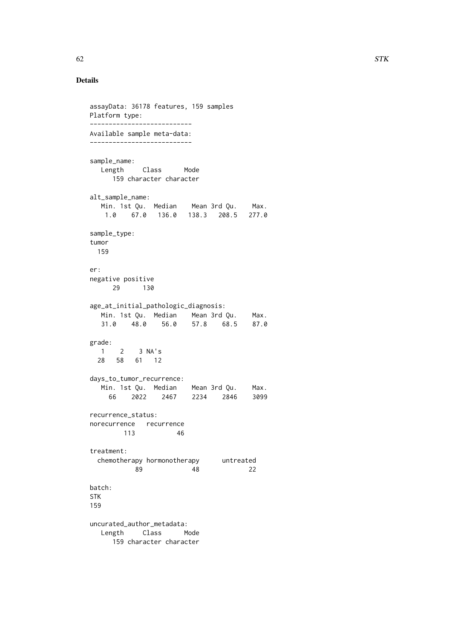```
assayData: 36178 features, 159 samples
Platform type:
---------------------------
Available sample meta-data:
---------------------------
sample_name:
  Length Class Mode
    159 character character
alt_sample_name:
  Min. 1st Qu. Median Mean 3rd Qu. Max.
   1.0 67.0 136.0 138.3 208.5 277.0
sample_type:
tumor
 159
er:
negative positive
     29 130
age_at_initial_pathologic_diagnosis:
  Min. 1st Qu. Median Mean 3rd Qu. Max.
  31.0 48.0 56.0 57.8 68.5 87.0
grade:
  1 2 3 NA's
 28 58 61 12
days_to_tumor_recurrence:
  Min. 1st Qu. Median Mean 3rd Qu. Max.
    66 2022 2467 2234 2846 3099
recurrence_status:
norecurrence recurrence
       113 46
treatment:
 chemotherapy hormonotherapy untreated
         89 48 22
batch:
STK
159
uncurated_author_metadata:
  Length Class Mode
     159 character character
```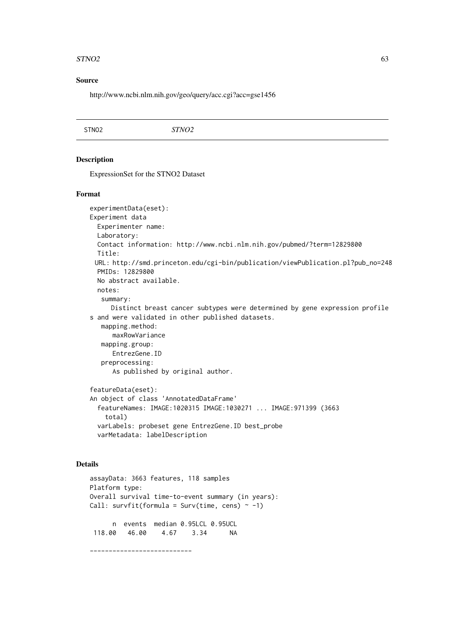#### $STNO2$  63

#### Source

http://www.ncbi.nlm.nih.gov/geo/query/acc.cgi?acc=gse1456

#### Description

ExpressionSet for the STNO2 Dataset

#### Format

```
experimentData(eset):
Experiment data
 Experimenter name:
 Laboratory:
 Contact information: http://www.ncbi.nlm.nih.gov/pubmed/?term=12829800
 Title:
 URL: http://smd.princeton.edu/cgi-bin/publication/viewPublication.pl?pub_no=248
 PMIDs: 12829800
 No abstract available.
 notes:
   summary:
     Distinct breast cancer subtypes were determined by gene expression profile
s and were validated in other published datasets.
  mapping.method:
      maxRowVariance
   mapping.group:
      EntrezGene.ID
   preprocessing:
      As published by original author.
featureData(eset):
An object of class 'AnnotatedDataFrame'
  featureNames: IMAGE:1020315 IMAGE:1030271 ... IMAGE:971399 (3663
    total)
 varLabels: probeset gene EntrezGene.ID best_probe
```

```
varMetadata: labelDescription
```

```
assayData: 3663 features, 118 samples
Platform type:
Overall survival time-to-event summary (in years):
Call: survfit(formula = Surv(time, cens) \sim -1)
     n events median 0.95LCL 0.95UCL
 118.00 46.00 4.67 3.34 NA
---------------------------
```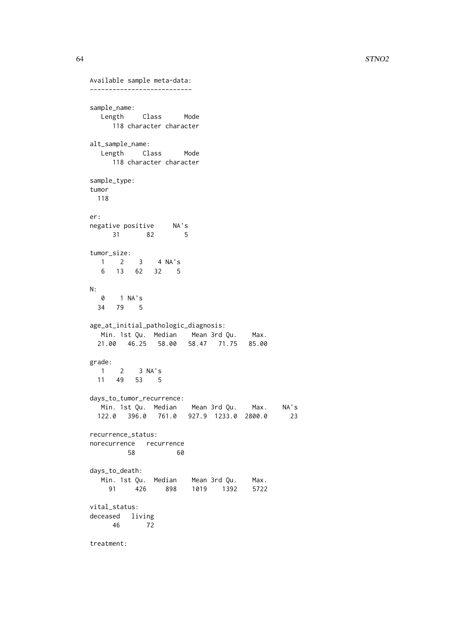```
Available sample meta-data:
---------------------------
sample_name:
  Length Class Mode
    118 character character
alt_sample_name:
  Length Class Mode
    118 character character
sample_type:
tumor
 118
er:
negative positive NA's
     31 82 5
tumor_size:
 1 2 3 4 NA's
  6 13 62 32 5
N:0 1 NA's
 34 79 5
age_at_initial_pathologic_diagnosis:
  Min. 1st Qu. Median Mean 3rd Qu. Max.
 21.00 46.25 58.00 58.47 71.75 85.00
grade:
 1 2 3 NA's
 11 49 53 5
days_to_tumor_recurrence:
 Min. 1st Qu. Median Mean 3rd Qu. Max. NA's
 122.0 396.0 761.0 927.9 1233.0 2800.0 23
recurrence_status:
norecurrence recurrence
      58 60
days_to_death:
  Min. 1st Qu. Median Mean 3rd Qu. Max.
   91 426 898 1019 1392 5722
vital status:
deceased living
    46 72
treatment:
```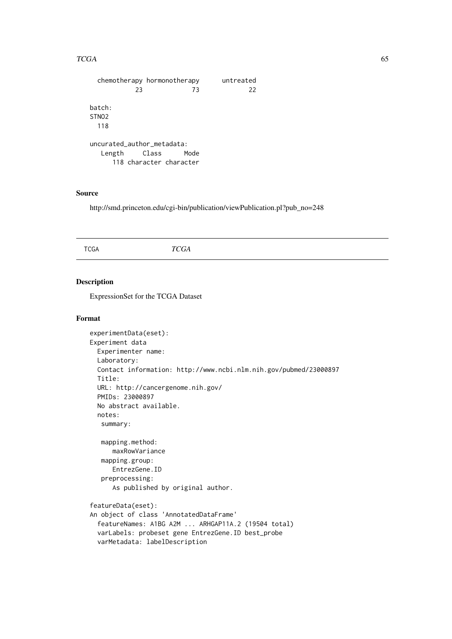### $TCGA$  65

```
chemotherapy hormonotherapy untreated
         23 73 22
batch:
STNO2
 118
uncurated_author_metadata:
  Length Class Mode
    118 character character
```
### Source

http://smd.princeton.edu/cgi-bin/publication/viewPublication.pl?pub\_no=248

## Description

ExpressionSet for the TCGA Dataset

```
experimentData(eset):
Experiment data
 Experimenter name:
 Laboratory:
 Contact information: http://www.ncbi.nlm.nih.gov/pubmed/23000897
 Title:
 URL: http://cancergenome.nih.gov/
 PMIDs: 23000897
 No abstract available.
 notes:
   summary:
   mapping.method:
      maxRowVariance
   mapping.group:
     EntrezGene.ID
   preprocessing:
      As published by original author.
featureData(eset):
An object of class 'AnnotatedDataFrame'
  featureNames: A1BG A2M ... ARHGAP11A.2 (19504 total)
 varLabels: probeset gene EntrezGene.ID best_probe
 varMetadata: labelDescription
```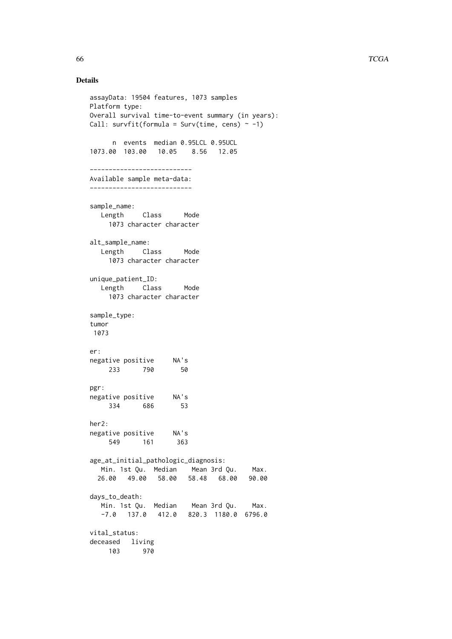```
assayData: 19504 features, 1073 samples
Platform type:
Overall survival time-to-event summary (in years):
Call: survfit(formula = Surv(time, cens) \sim -1)
     n events median 0.95LCL 0.95UCL
1073.00 103.00 10.05 8.56 12.05
---------------------------
Available sample meta-data:
---------------------------
sample_name:
  Length Class Mode
    1073 character character
alt_sample_name:
  Length Class Mode
    1073 character character
unique_patient_ID:
  Length Class Mode
    1073 character character
sample_type:
tumor
1073
er:
negative positive NA's
    233 790 50
pgr:
negative positive NA's
    334 686 53
her2:
negative positive NA's
    549 161 363
age_at_initial_pathologic_diagnosis:
  Min. 1st Qu. Median Mean 3rd Qu. Max.
 26.00 49.00 58.00 58.48 68.00 90.00
days_to_death:
  Min. 1st Qu. Median Mean 3rd Qu. Max.
  -7.0 137.0 412.0 820.3 1180.0 6796.0
vital_status:
deceased living
    103 970
```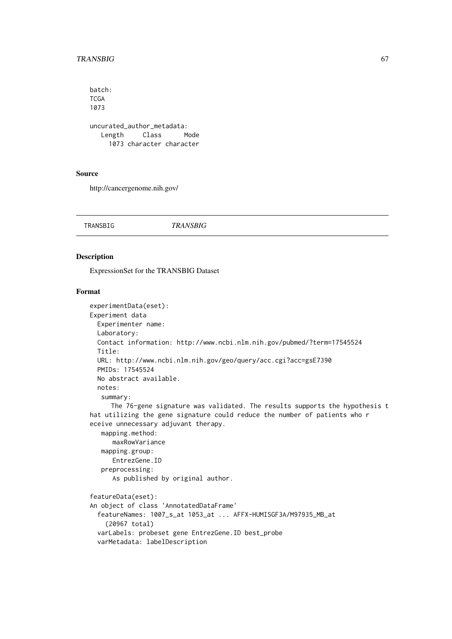#### TRANSBIG 67

```
batch:
TCGA
1073
uncurated_author_metadata:
  Length Class Mode
    1073 character character
```
### Source

http://cancergenome.nih.gov/

TRANSBIG *TRANSBIG*

## Description

ExpressionSet for the TRANSBIG Dataset

```
experimentData(eset):
Experiment data
 Experimenter name:
 Laboratory:
 Contact information: http://www.ncbi.nlm.nih.gov/pubmed/?term=17545524
 Title:
 URL: http://www.ncbi.nlm.nih.gov/geo/query/acc.cgi?acc=gsE7390
 PMIDs: 17545524
 No abstract available.
 notes:
   summary:
     The 76-gene signature was validated. The results supports the hypothesis t
hat utilizing the gene signature could reduce the number of patients who r
eceive unnecessary adjuvant therapy.
   mapping.method:
     maxRowVariance
   mapping.group:
     EntrezGene.ID
   preprocessing:
      As published by original author.
featureData(eset):
An object of class 'AnnotatedDataFrame'
  featureNames: 1007_s_at 1053_at ... AFFX-HUMISGF3A/M97935_MB_at
    (20967 total)
  varLabels: probeset gene EntrezGene.ID best_probe
 varMetadata: labelDescription
```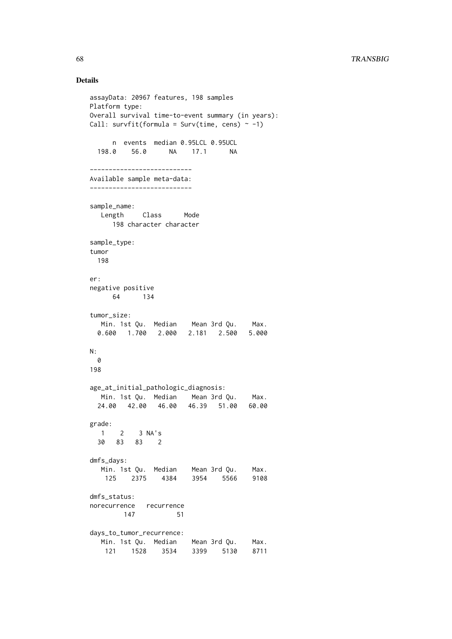```
assayData: 20967 features, 198 samples
Platform type:
Overall survival time-to-event summary (in years):
Call: survfit(formula = Surv(time, cens) \sim -1)
     n events median 0.95LCL 0.95UCL
 198.0 56.0 NA 17.1 NA
---------------------------
Available sample meta-data:
---------------------------
sample_name:
  Length Class Mode
     198 character character
sample_type:
tumor
 198
er:
negative positive
    64 134
tumor_size:
  Min. 1st Qu. Median Mean 3rd Qu. Max.
 0.600 1.700 2.000 2.181 2.500 5.000
N:
 0
198
age_at_initial_pathologic_diagnosis:
  Min. 1st Qu. Median Mean 3rd Qu. Max.
  24.00 42.00 46.00 46.39 51.00 60.00
grade:
 1 2 3 NA's
 30 83 83 2
dmfs_days:
  Min. 1st Qu. Median Mean 3rd Qu. Max.
   125 2375 4384 3954 5566 9108
dmfs_status:
norecurrence recurrence
      147 51
days_to_tumor_recurrence:
  Min. 1st Qu. Median Mean 3rd Qu. Max.
   121 1528 3534 3399 5130 8711
```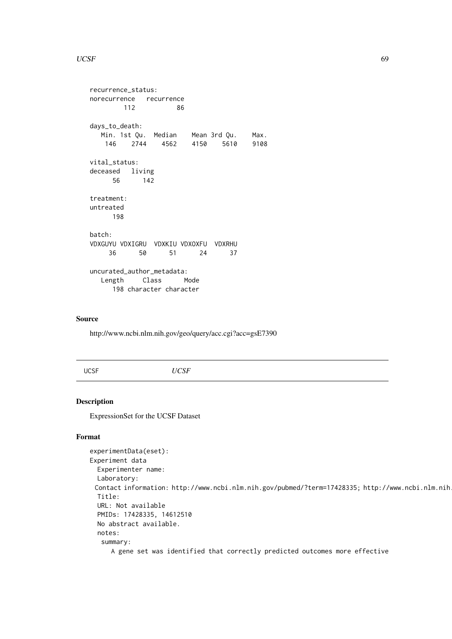#### $UCSF$  69

```
recurrence_status:
norecurrence recurrence
       112 86
days_to_death:
  Min. 1st Qu. Median Mean 3rd Qu. Max.
   146 2744 4562 4150 5610 9108
vital_status:
deceased living<br>56 142
          56 142
treatment:
untreated
     198
batch:
VDXGUYU VDXIGRU VDXKIU VDXOXFU VDXRHU
    36 50 51 24 37
uncurated_author_metadata:
  Length Class Mode
     198 character character
```
## Source

http://www.ncbi.nlm.nih.gov/geo/query/acc.cgi?acc=gsE7390

UCSF *UCSF*

## Description

ExpressionSet for the UCSF Dataset

```
experimentData(eset):
Experiment data
 Experimenter name:
 Laboratory:
 Contact information: http://www.ncbi.nlm.nih.gov/pubmed/?term=17428335; http://www.ncbi.nlm.nih
 Title:
 URL: Not available
 PMIDs: 17428335, 14612510
 No abstract available.
 notes:
   summary:
     A gene set was identified that correctly predicted outcomes more effective
```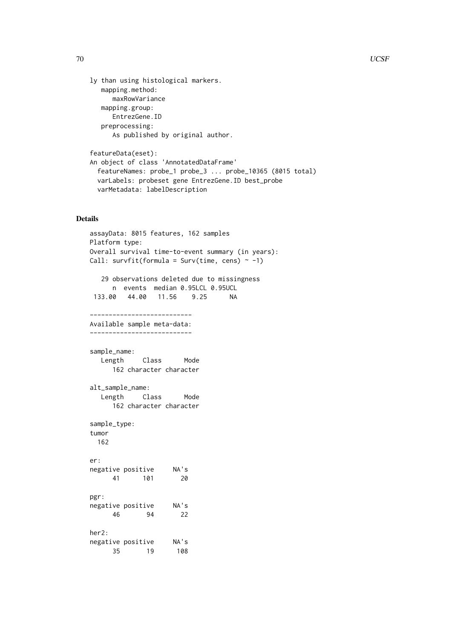```
ly than using histological markers.
   mapping.method:
      maxRowVariance
   mapping.group:
     EntrezGene.ID
   preprocessing:
      As published by original author.
```

```
featureData(eset):
An object of class 'AnnotatedDataFrame'
  featureNames: probe_1 probe_3 ... probe_10365 (8015 total)
 varLabels: probeset gene EntrezGene.ID best_probe
 varMetadata: labelDescription
```

```
assayData: 8015 features, 162 samples
Platform type:
Overall survival time-to-event summary (in years):
Call: survfit(formula = Surv(time, cens) \sim -1)
  29 observations deleted due to missingness
     n events median 0.95LCL 0.95UCL
133.00 44.00 11.56 9.25 NA
---------------------------
Available sample meta-data:
---------------------------
sample_name:
  Length Class Mode
     162 character character
alt_sample_name:
  Length Class Mode
     162 character character
sample_type:
tumor
 162
er:
negative positive NA's
     41 101 20
pgr:
negative positive NA's
     46 94 22
her2:
negative positive NA's
     35 19 108
```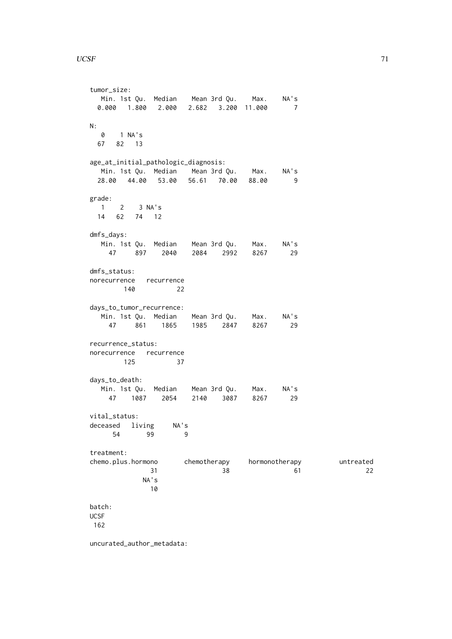```
tumor_size:
 Min. 1st Qu. Median Mean 3rd Qu. Max. NA's
 0.000 1.800 2.000 2.682 3.200 11.000 7
N:
  0 1 NA's
 67 82 13
age_at_initial_pathologic_diagnosis:
 Min. 1st Qu. Median Mean 3rd Qu. Max. NA's
 28.00 44.00 53.00 56.61 70.00 88.00 9
grade:
 1 2 3 NA's
 14 62 74 12
dmfs_days:
  Min. 1st Qu. Median Mean 3rd Qu. Max. NA's
   47 897 2040 2084 2992 8267 29
dmfs_status:
norecurrence recurrence
     140 22
days_to_tumor_recurrence:
  Min. 1st Qu. Median Mean 3rd Qu. Max. NA's
   47 861 1865 1985 2847 8267 29
recurrence_status:
norecurrence recurrence
    125 37
days_to_death:
  Min. 1st Qu. Median Mean 3rd Qu. Max. NA's
   47 1087 2054 2140 3087 8267 29
vital_status:
deceased living NA's
    54 99 9
treatment:
chemo.plus.hormono chemotherapy hormonotherapy untreated
            31 38 61 22
          NA's
           10
batch:
UCSF
162
uncurated_author_metadata:
```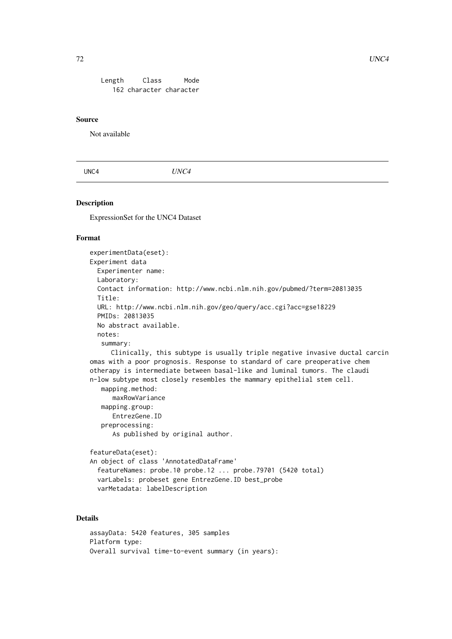Length Class Mode 162 character character

#### Source

Not available

UNC4 *UNC4*

## Description

ExpressionSet for the UNC4 Dataset

#### Format

experimentData(eset): Experiment data Experimenter name: Laboratory: Contact information: http://www.ncbi.nlm.nih.gov/pubmed/?term=20813035 Title: URL: http://www.ncbi.nlm.nih.gov/geo/query/acc.cgi?acc=gse18229 PMIDs: 20813035 No abstract available. notes: summary: Clinically, this subtype is usually triple negative invasive ductal carcin

omas with a poor prognosis. Response to standard of care preoperative chem otherapy is intermediate between basal-like and luminal tumors. The claudi n-low subtype most closely resembles the mammary epithelial stem cell.

```
mapping.method:
  maxRowVariance
mapping.group:
  EntrezGene.ID
preprocessing:
  As published by original author.
```

```
featureData(eset):
An object of class 'AnnotatedDataFrame'
  featureNames: probe.10 probe.12 ... probe.79701 (5420 total)
 varLabels: probeset gene EntrezGene.ID best_probe
 varMetadata: labelDescription
```

```
assayData: 5420 features, 305 samples
Platform type:
Overall survival time-to-event summary (in years):
```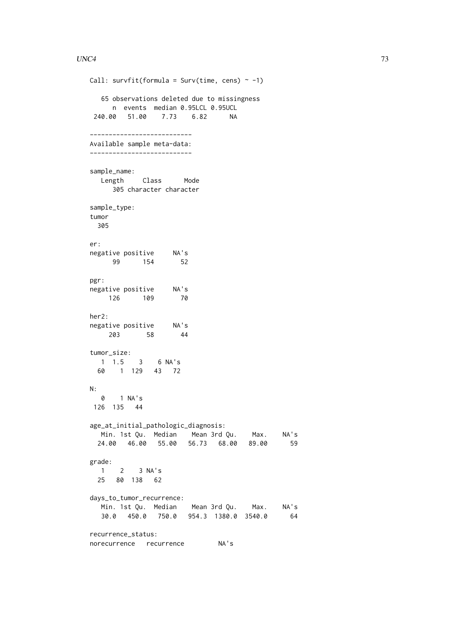```
Call: survfit(formula = Surv(time, cens) \sim -1)
  65 observations deleted due to missingness
    n events median 0.95LCL 0.95UCL
240.00 51.00 7.73 6.82 NA
---------------------------
Available sample meta-data:
---------------------------
sample_name:
  Length Class Mode
    305 character character
sample_type:
tumor
 305
er:
negative positive NA's
 99 154 52
pgr:
negative positive NA's
  126 109 70
her2:
negative positive NA's
   203 58 44
tumor_size:
 1 1.5 3 6 NA's
 60 1 129 43 72
N:
  0 1 NA's
126 135 44
age_at_initial_pathologic_diagnosis:
  Min. 1st Qu. Median Mean 3rd Qu. Max. NA's
 24.00 46.00 55.00 56.73 68.00 89.00 59
grade:
  1 2 3 NA's
 25 80 138 62
days_to_tumor_recurrence:
  Min. 1st Qu. Median Mean 3rd Qu. Max. NA's
  30.0 450.0 750.0 954.3 1380.0 3540.0 64
recurrence_status:
norecurrence recurrence NA's
```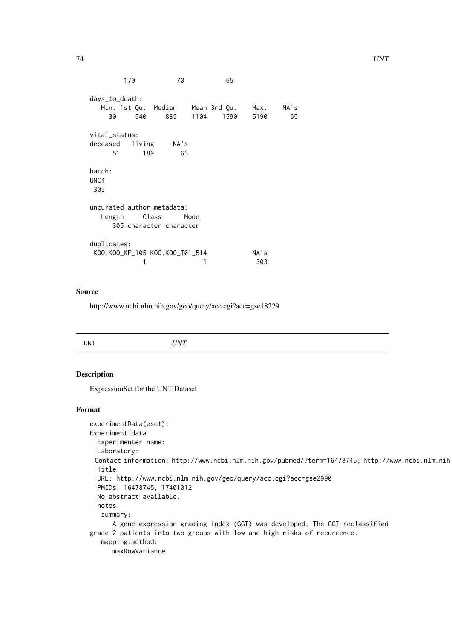```
170 70 65
days_to_death:
  Min. 1st Qu. Median Mean 3rd Qu. Max. NA's
   30 540 885 1104 1590 5190 65
vital_status:
deceased living NA's
    51 189 65
batch:
UNC4
305
uncurated_author_metadata:
  Length Class Mode
    305 character character
duplicates:
KOO.KOO_KF_105 KOO.KOO_T01_514 NA's
         1 1 303
```
### Source

http://www.ncbi.nlm.nih.gov/geo/query/acc.cgi?acc=gse18229

|--|

## Description

ExpressionSet for the UNT Dataset

## Format

```
experimentData(eset):
Experiment data
 Experimenter name:
 Laboratory:
 Contact information: http://www.ncbi.nlm.nih.gov/pubmed/?term=16478745; http://www.ncbi.nlm.nih
 Title:
 URL: http://www.ncbi.nlm.nih.gov/geo/query/acc.cgi?acc=gse2990
 PMIDs: 16478745, 17401012
 No abstract available.
 notes:
   summary:
      A gene expression grading index (GGI) was developed. The GGI reclassified
grade 2 patients into two groups with low and high risks of recurrence.
   mapping.method:
      maxRowVariance
```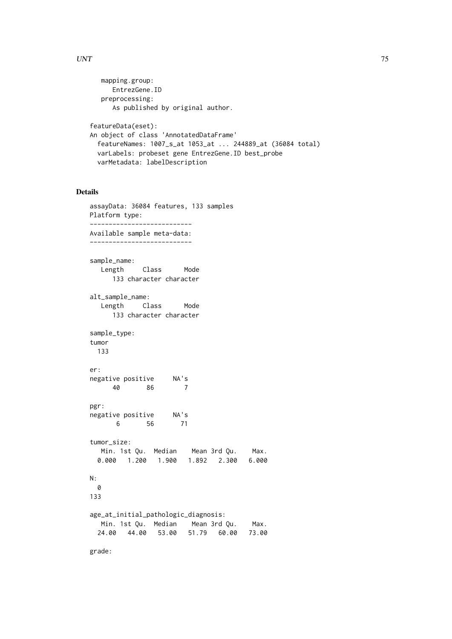```
mapping.group:
      EntrezGene.ID
   preprocessing:
      As published by original author.
featureData(eset):
An object of class 'AnnotatedDataFrame'
 featureNames: 1007_s_at 1053_at ... 244889_at (36084 total)
 varLabels: probeset gene EntrezGene.ID best_probe
 varMetadata: labelDescription
```
# Details

```
assayData: 36084 features, 133 samples
Platform type:
---------------------------
Available sample meta-data:
---------------------------
sample_name:
  Length Class Mode
     133 character character
alt_sample_name:
  Length Class Mode
     133 character character
sample_type:
tumor
 133
er:
negative positive NA's
     40 86 7
pgr:
negative positive NA's
      6 56 71
tumor_size:
  Min. 1st Qu. Median Mean 3rd Qu. Max.
 0.000 1.200 1.900 1.892 2.300 6.000
N:
 0
133
age_at_initial_pathologic_diagnosis:
  Min. 1st Qu. Median Mean 3rd Qu. Max.
 24.00 44.00 53.00 51.79 60.00 73.00
```
grade: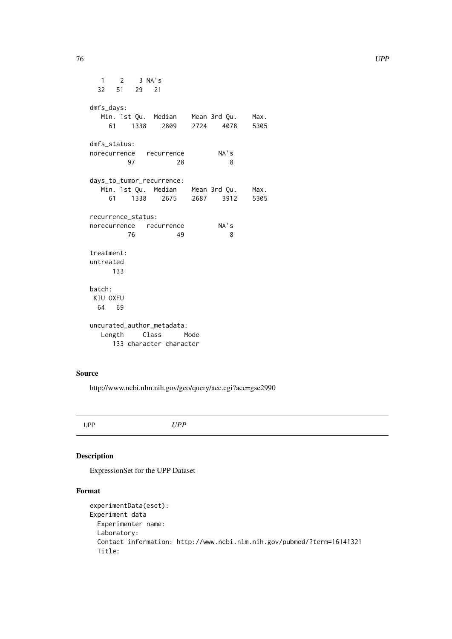<span id="page-75-0"></span>1 2 3 NA's 32 51 29 21 dmfs\_days: Min. 1st Qu. Median Mean 3rd Qu. Max. 61 1338 2809 2724 4078 5305 dmfs\_status: norecurrence recurrence NA's 97 28 8 days\_to\_tumor\_recurrence: Min. 1st Qu. Median Mean 3rd Qu. Max. 61 1338 2675 2687 3912 5305 recurrence\_status: norecurrence recurrence NA's 76 49 8 treatment: untreated 133 batch: KIU OXFU 64 69 uncurated\_author\_metadata: Length Class Mode 133 character character

# Source

http://www.ncbi.nlm.nih.gov/geo/query/acc.cgi?acc=gse2990

UPP *UPP*

# Description

ExpressionSet for the UPP Dataset

# Format

```
experimentData(eset):
Experiment data
 Experimenter name:
 Laboratory:
 Contact information: http://www.ncbi.nlm.nih.gov/pubmed/?term=16141321
 Title:
```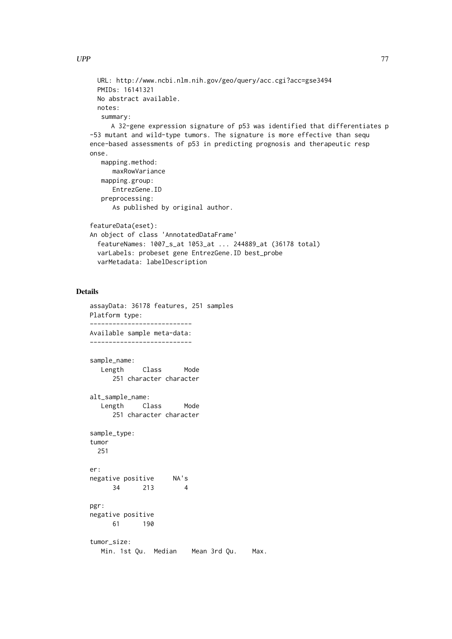```
URL: http://www.ncbi.nlm.nih.gov/geo/query/acc.cgi?acc=gse3494
 PMIDs: 16141321
 No abstract available.
 notes:
   summary:
     A 32-gene expression signature of p53 was identified that differentiates p
-53 mutant and wild-type tumors. The signature is more effective than sequ
ence-based assessments of p53 in predicting prognosis and therapeutic resp
onse.
   mapping.method:
      maxRowVariance
   mapping.group:
     EntrezGene.ID
   preprocessing:
      As published by original author.
featureData(eset):
An object of class 'AnnotatedDataFrame'
  featureNames: 1007_s_at 1053_at ... 244889_at (36178 total)
 varLabels: probeset gene EntrezGene.ID best_probe
 varMetadata: labelDescription
```
#### Details

```
assayData: 36178 features, 251 samples
Platform type:
---------------------------
Available sample meta-data:
---------------------------
sample_name:
  Length Class Mode
     251 character character
alt_sample_name:
  Length Class Mode
     251 character character
sample_type:
tumor
 251
er:
negative positive NA's
     34 213 4
pgr:
negative positive
     61 190
tumor_size:
  Min. 1st Qu. Median Mean 3rd Qu. Max.
```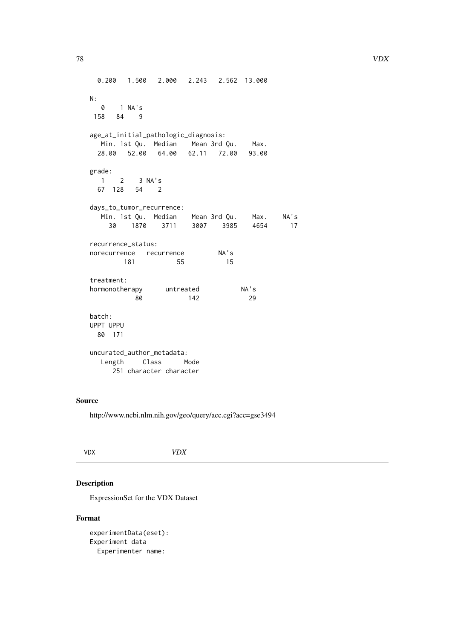```
0.200 1.500 2.000 2.243 2.562 13.000
N:
  0 1 NA's
158 84 9
age_at_initial_pathologic_diagnosis:
  Min. 1st Qu. Median Mean 3rd Qu. Max.
 28.00 52.00 64.00 62.11 72.00 93.00
grade:
 1 2 3 NA's
 67 128 54 2
days_to_tumor_recurrence:
  Min. 1st Qu. Median Mean 3rd Qu. Max. NA's
   30 1870 3711 3007 3985 4654 17
recurrence_status:
norecurrence recurrence NA's
      181 55 15
treatment:
hormonotherapy untreated NA's
         80 142 29
batch:
UPPT UPPU
 80 171
uncurated_author_metadata:
 Length Class Mode
    251 character character
```
#### Source

http://www.ncbi.nlm.nih.gov/geo/query/acc.cgi?acc=gse3494

|--|

# Description

ExpressionSet for the VDX Dataset

# Format

experimentData(eset): Experiment data Experimenter name: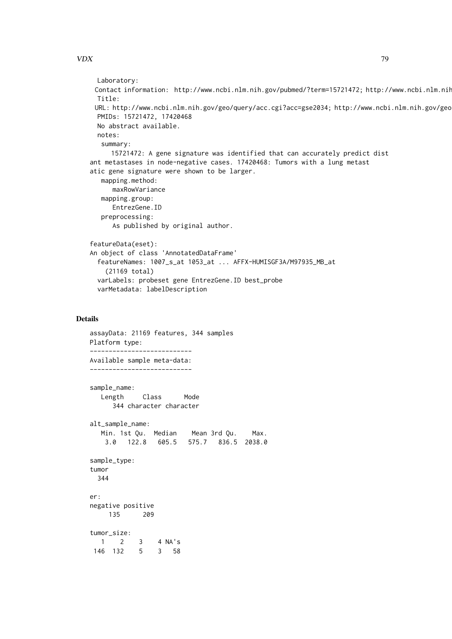```
Laboratory:
 Contact information: http://www.ncbi.nlm.nih.gov/pubmed/?term=15721472; http://www.ncbi.nlm.nih
 Title:
 URL: http://www.ncbi.nlm.nih.gov/geo/query/acc.cgi?acc=gse2034; http://www.ncbi.nlm.nih.gov/geo
 PMIDs: 15721472, 17420468
 No abstract available.
 notes:
   summary:
     15721472: A gene signature was identified that can accurately predict dist
ant metastases in node-negative cases. 17420468: Tumors with a lung metast
atic gene signature were shown to be larger.
   mapping.method:
     maxRowVariance
   mapping.group:
      EntrezGene.ID
   preprocessing:
      As published by original author.
featureData(eset):
An object of class 'AnnotatedDataFrame'
  featureNames: 1007_s_at 1053_at ... AFFX-HUMISGF3A/M97935_MB_at
    (21169 total)
 varLabels: probeset gene EntrezGene.ID best_probe
  varMetadata: labelDescription
```
# Details

```
assayData: 21169 features, 344 samples
Platform type:
---------------------------
Available sample meta-data:
---------------------------
sample_name:
  Length Class Mode
     344 character character
alt_sample_name:
  Min. 1st Qu. Median Mean 3rd Qu. Max.
   3.0 122.8 605.5 575.7 836.5 2038.0
sample_type:
tumor
 344
er:
negative positive
    135 209
tumor_size:
  1 2 3 4 NA's
146 132 5 3 58
```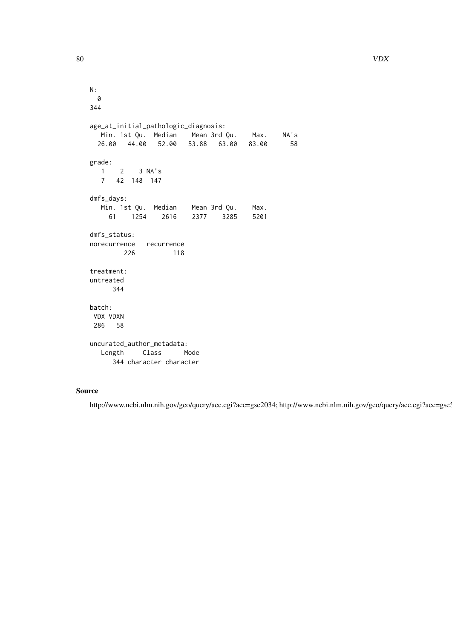```
N:
 0
344
age_at_initial_pathologic_diagnosis:
  Min. 1st Qu. Median Mean 3rd Qu. Max. NA's
 26.00 44.00 52.00 53.88 63.00 83.00 58
grade:
  1 2 3 NA's
  7 42 148 147
dmfs_days:
  Min. 1st Qu. Median Mean 3rd Qu. Max.
    61 1254 2616 2377 3285 5201
dmfs_status:
norecurrence recurrence
       226 118
treatment:
untreated
     344
batch:
VDX VDXN
 286 58
uncurated_author_metadata:
  Length Class Mode
     344 character character
```
#### Source

http://www.ncbi.nlm.nih.gov/geo/query/acc.cgi?acc=gse2034; http://www.ncbi.nlm.nih.gov/geo/query/acc.cgi?acc=gse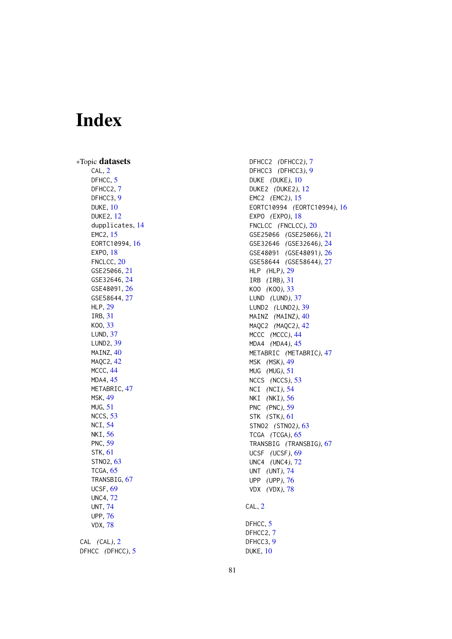# **Index**

∗Topic datasets CAL, [2](#page-1-0) DFHCC,  $5$ DFHCC2, [7](#page-6-0) DFHCC3 , [9](#page-8-0) DUKE , [10](#page-9-0) DUKE2 , [12](#page-11-0) dupplicates , [14](#page-13-0) EMC2 , [15](#page-14-0) EORTC10994 , [16](#page-15-0) EXP0, [18](#page-17-0) FNCLCC, [20](#page-19-0) GSE25066 , [21](#page-20-0) GSE32646 , [24](#page-23-0) GSE48091 , [26](#page-25-0) GSE58644 , [27](#page-26-0) HLP , [29](#page-28-0) IRB , [31](#page-30-0) KOO , [33](#page-32-0) LUND , [37](#page-36-0) LUND2 , [39](#page-38-0) MAINZ, [40](#page-39-0) MAQC2, [42](#page-41-0) MCCC, [44](#page-43-0) MDA4 , [45](#page-44-0) METABRIC, [47](#page-46-0) MSK , [49](#page-48-0) MUG , [51](#page-50-0) NCCS , [53](#page-52-0) NCI , [54](#page-53-0) NKI, <mark>5</mark>6 PNC , [59](#page-58-0) STK , [61](#page-60-0) STN02, [63](#page-62-0) TCGA, [65](#page-64-0) TRANSBIG, [67](#page-66-0) UCSF , [69](#page-68-0) UNC4 , [72](#page-71-0) UNT , [74](#page-73-0) UPP , [76](#page-75-0) VDX , [78](#page-77-0) CAL *(*CAL *)* , [2](#page-1-0) DFHCC *(*DFHCC *)* , [5](#page-4-0)

DFHCC2 *(*DFHCC2 *)* , [7](#page-6-0) DFHCC3 *(*DFHCC3 *)* , [9](#page-8-0) DUKE *(*DUKE *)* , [10](#page-9-0) DUKE2 *(*DUKE2 *)* , [12](#page-11-0) EMC2 *(*EMC2 *)* , [15](#page-14-0) EORTC10994 *(*EORTC10994 *)* , [16](#page-15-0) EXPO (EXPO), [18](#page-17-0) FNCLCC *(*FNCLCC *)* , [20](#page-19-0) GSE25066 *(*GSE25066 *)* , [21](#page-20-0) GSE32646 *(*GSE32646 *)* , [24](#page-23-0) GSE48091 *(*GSE48091 *)* , [26](#page-25-0) GSE58644 *(*GSE58644 *)* , [27](#page-26-0) HLP *(*HLP *)* , [29](#page-28-0) IRB *(*IRB *)* , [31](#page-30-0) KOO *(*KOO *)* , [33](#page-32-0) LUND *(*LUND *)* , [37](#page-36-0) LUND2 *(*LUND2 *)* , [39](#page-38-0) MAINZ (MAINZ), [40](#page-39-0) MAQC2 *(*MAQC2 *)* , [42](#page-41-0) MCCC *(*MCCC *)* , [44](#page-43-0) MDA4 *(*MDA4 *)* , [45](#page-44-0) METABRIC *(*METABRIC *)* , [47](#page-46-0) MSK *(*MSK *)* , [49](#page-48-0) MUG *(*MUG *)* , [51](#page-50-0) NCCS *(*NCCS *)* , [53](#page-52-0) NCI *(*NCI *)* , [54](#page-53-0) NKI *(*NKI *)* , [56](#page-55-0) PNC *(*PNC *)* , [59](#page-58-0) STK *(*STK *)* , [61](#page-60-0) STNO2 *(*STNO2 *)* , [63](#page-62-0) TCGA *(*TCGA *)* , [65](#page-64-0) TRANSBIG *(*TRANSBIG *)* , [67](#page-66-0) UCSF *(*UCSF *)* , [69](#page-68-0) UNC4 *(*UNC4 *)* , [72](#page-71-0) UNT *(*UNT *)* , [74](#page-73-0) UPP *(*UPP *)* , [76](#page-75-0) VDX *(*VDX *)* , [78](#page-77-0) CAL, [2](#page-1-0) DFHCC, [5](#page-4-0) DFHCC2, [7](#page-6-0) DFHCC3, [9](#page-8-0)

DUKE , [10](#page-9-0)